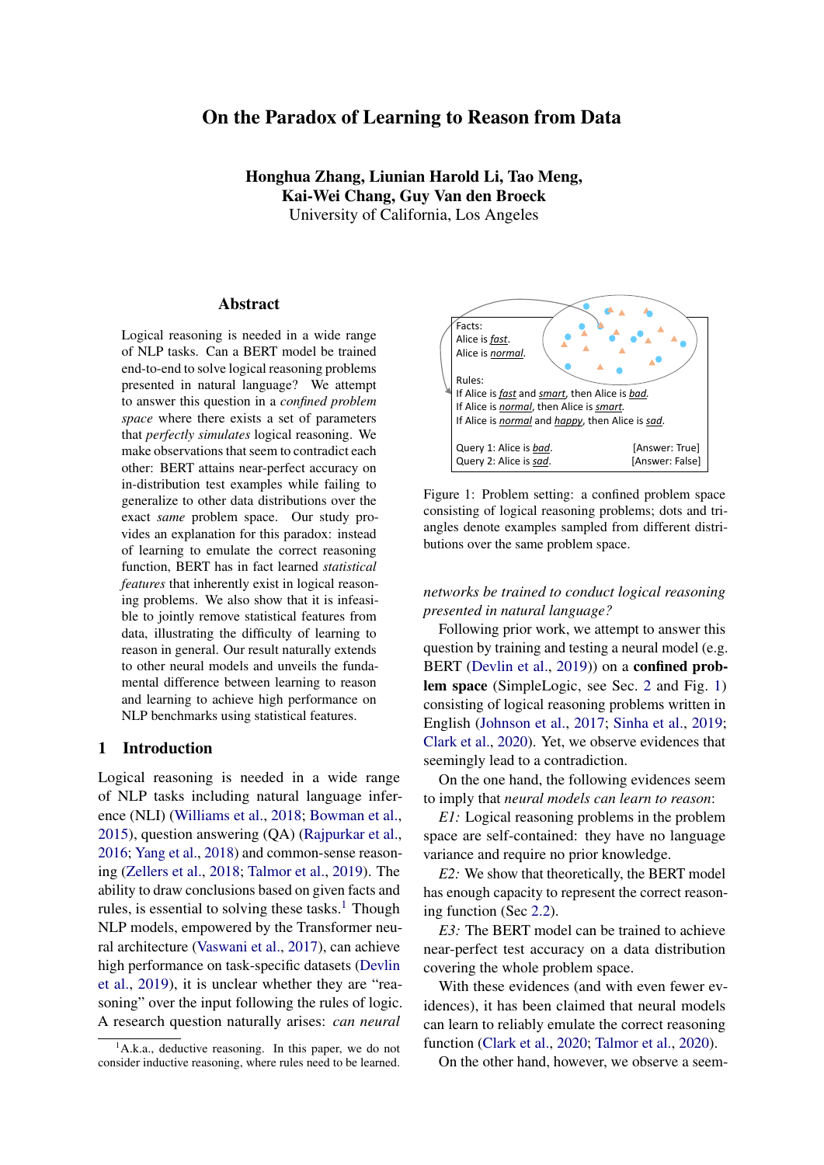# On the Paradox of Learning to Reason from Data

Honghua Zhang, Liunian Harold Li, Tao Meng, Kai-Wei Chang, Guy Van den Broeck University of California, Los Angeles

#### Abstract

Logical reasoning is needed in a wide range of NLP tasks. Can a BERT model be trained end-to-end to solve logical reasoning problems presented in natural language? We attempt to answer this question in a *confined problem space* where there exists a set of parameters that *perfectly simulates* logical reasoning. We make observations that seem to contradict each other: BERT attains near-perfect accuracy on in-distribution test examples while failing to generalize to other data distributions over the exact *same* problem space. Our study provides an explanation for this paradox: instead of learning to emulate the correct reasoning function, BERT has in fact learned *statistical features* that inherently exist in logical reasoning problems. We also show that it is infeasible to jointly remove statistical features from data, illustrating the difficulty of learning to reason in general. Our result naturally extends to other neural models and unveils the fundamental difference between learning to reason and learning to achieve high performance on NLP benchmarks using statistical features.

#### 1 Introduction

Logical reasoning is needed in a wide range of NLP tasks including natural language inference (NLI) [\(Williams et al.,](#page-9-0) [2018;](#page-9-0) [Bowman et al.,](#page-8-0) [2015\)](#page-8-0), question answering (QA) [\(Rajpurkar et al.,](#page-9-1) [2016;](#page-9-1) [Yang et al.,](#page-9-2) [2018\)](#page-9-2) and common-sense reasoning [\(Zellers et al.,](#page-9-3) [2018;](#page-9-3) [Talmor et al.,](#page-9-4) [2019\)](#page-9-4). The ability to draw conclusions based on given facts and rules, is essential to solving these tasks. $<sup>1</sup>$  $<sup>1</sup>$  $<sup>1</sup>$  Though</sup> NLP models, empowered by the Transformer neural architecture [\(Vaswani et al.,](#page-9-5) [2017\)](#page-9-5), can achieve high performance on task-specific datasets [\(Devlin](#page-8-1) [et al.,](#page-8-1) [2019\)](#page-8-1), it is unclear whether they are "reasoning" over the input following the rules of logic. A research question naturally arises: *can neural*

<span id="page-0-1"></span>

Figure 1: Problem setting: a confined problem space consisting of logical reasoning problems; dots and triangles denote examples sampled from different distributions over the same problem space.

*networks be trained to conduct logical reasoning presented in natural language?*

Following prior work, we attempt to answer this question by training and testing a neural model (e.g. BERT [\(Devlin et al.,](#page-8-1) [2019\)](#page-8-1)) on a **confined prob**lem space (SimpleLogic, see Sec. [2](#page-1-0) and Fig. [1\)](#page-0-1) consisting of logical reasoning problems written in English [\(Johnson et al.,](#page-8-2) [2017;](#page-8-2) [Sinha et al.,](#page-9-6) [2019;](#page-9-6) [Clark et al.,](#page-8-3) [2020\)](#page-8-3). Yet, we observe evidences that seemingly lead to a contradiction.

On the one hand, the following evidences seem to imply that *neural models can learn to reason*:

*E1:* Logical reasoning problems in the problem space are self-contained: they have no language variance and require no prior knowledge.

*E2:* We show that theoretically, the BERT model has enough capacity to represent the correct reasoning function (Sec [2.2\)](#page-2-0).

*E3:* The BERT model can be trained to achieve near-perfect test accuracy on a data distribution covering the whole problem space.

With these evidences (and with even fewer evidences), it has been claimed that neural models can learn to reliably emulate the correct reasoning function [\(Clark et al.,](#page-8-3) [2020;](#page-8-3) [Talmor et al.,](#page-9-7) [2020\)](#page-9-7).

On the other hand, however, we observe a seem-

<span id="page-0-0"></span>A.k.a., deductive reasoning. In this paper, we do not consider inductive reasoning, where rules need to be learned.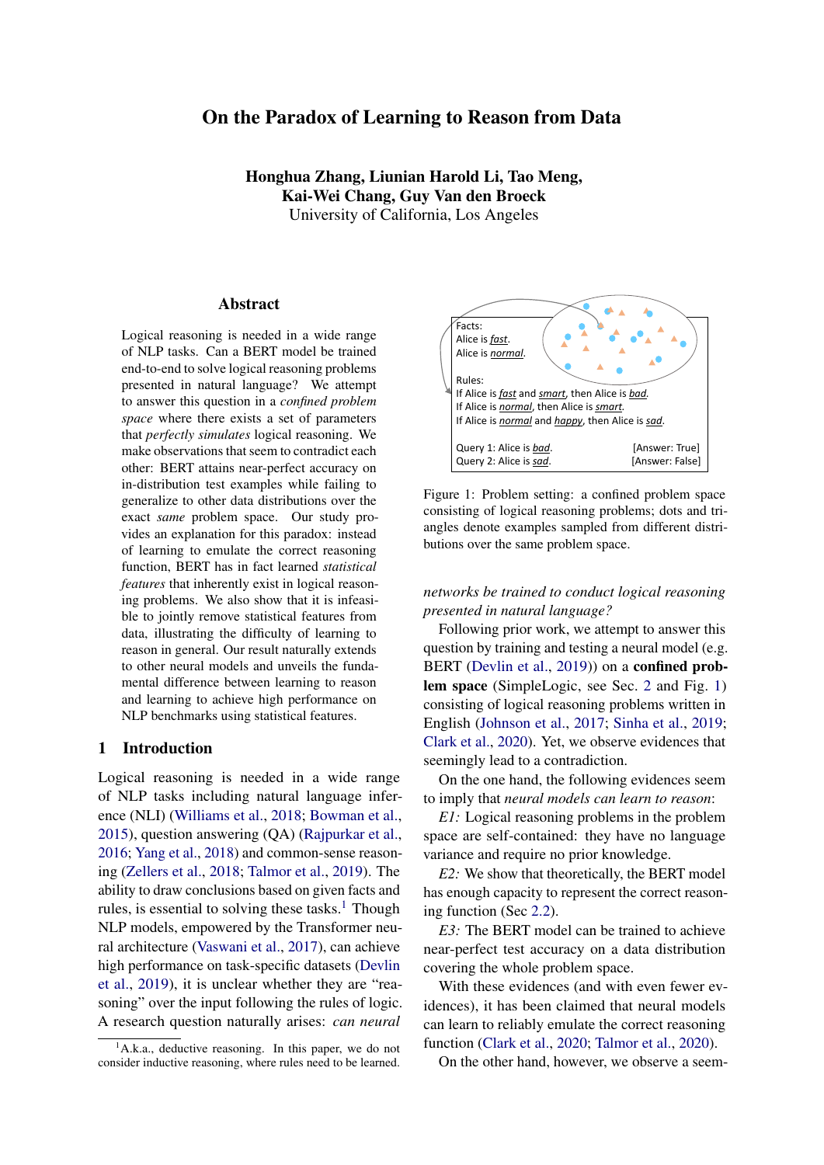ingly contradictory phenomenon: the models attaining near-perfect accuracy on one data distribution do not generalize to other distributions within *the same problem space*. Since the correct reasoning function does not change across data distributions, it follows that *the model has not learned to reason*.

The paradox lies in that if a neural model *has* learned reasoning, it should not exhibit such a generalization failure; if the model *has not* learned reasoning, it is baffling how it manages to achieve near-perfect test accuracy on a training distribution that covers the entire problem space. Note that what we observed is not a common case of out-of-distribution (OOD) generalization failure: (1) the problem space is confined and simple (see *E1,E2*); (2) the correct reasoning function is invariant across data distributions; (3) the training distribution covers the whole problem space. On the contrary, discussions on OOD generalization often involve open problem space [\(Lin et al.,](#page-8-4) [2019;](#page-8-4) [Gontier et al.,](#page-8-5) [2020;](#page-8-5) [Wald et al.,](#page-9-8) [2021\)](#page-9-8) and domain/concept mismatch between training and testing distribution [\(Yin et al.,](#page-9-9) [2021;](#page-9-9) [Koh et al.,](#page-8-6) [2021\)](#page-8-6).

Upon further investigation, we provide an explanation for this paradox: the model attaining high accuracy only on in-distribution test examples has not learned to reason. In fact, the model has learned to use *statistical features* in logical reasoning problems to make predictions rather than to emulate the correct reasoning function.

Our first observation is that even the simplest statistic of a reasoning problem can give away significant information about the true label (Sec[.4.1\)](#page-4-0): for example, by only looking at the number of rules in a reasoning problem, we can predict the correct label better than a random guess. Unlike dataset biases/artifacts identified in typical NLP datasets, which are often due to biases in the dataset collection/annotation process [\(Gururangan](#page-8-7) [et al.,](#page-8-7) [2018;](#page-8-7) [Clark et al.,](#page-8-8) [2019;](#page-8-8) [He et al.,](#page-8-9) [2019\)](#page-8-9), statistical features inherently exist in reasoning problems and are not specific to certain data distributions. We show that statistical features can hinder model generalization performance; moreover, we argue that there are potentially countless statistical features and it is computationally expensive to jointly remove them from training distributions.

Our study establishes the dilemma of learning to reason from data: on the one hand, when a model is trained to learn a task from data, it always tends to learn statistical patterns, which inherently exist in reasoning examples; on the other hand, however, the rules of logic never rely on statistical patterns to conduct reasoning. Since it is difficult to construct a logical reasoning dataset that contains no statistical features, it follows that learning to reason from data is difficult.

Our findings unveil the fundamental difference between "learning to reason" and "learning to solve a typical NLP task." For most NLP tasks, one of the major goal for a neural model is to learn statistical patterns: for example, in sentiment analysis [\(Maas](#page-9-10) [et al.,](#page-9-10) [2011\)](#page-9-10), a model is *expected* to learn the strong correlation between the occurrence of the word "happy" and the positive sentiment. However, for logical reasoning, even though numerous statistical features inherently exist, models should not be utilizing them to make predictions. Caution should be taken when we seek to train neural models endto-end to solve NLP tasks that involve both logical reasoning and prior knowledge and are presented with language variance [\(Welleck et al.,](#page-9-11) [2021;](#page-9-11) [Yu](#page-9-12) [et al.,](#page-9-12) [2020\)](#page-9-12), which could potentially lead to even stronger statistical features, echoing the findings of [Elazar et al.](#page-8-10) [\(2021\)](#page-8-10); [McCoy et al.](#page-9-13) [\(2019\)](#page-9-13).

# <span id="page-1-0"></span>2 SimpleLogic: A Simple Problem Space for Logical Reasoning

We define *SimpleLogic*, a class of logical reasoning problems based on propositional logic. We use SimpleLogic as a controlled testbed for testing neural models' ability to conduct logical reasoning.

SimpleLogic only contains deductive reasoning examples. To simplify the problem, we remove language variance by representing the reasoning problems in a templated language and limit their complexity (e.g., examples have limited input lengths, number of predicates, and reasoning depths).

Solving SimpleLogic does not require significant model capacity. We show that a popular pre-trained language model BERT [\(Devlin et al.,](#page-8-1)  $(2019)^2$  $(2019)^2$  $(2019)^2$  $(2019)^2$  has more than enough model capacity to solve SimpleLogic by constructing a parameterization of BERT that solves SimpleLogic with 100% accuracy (Sec. [2.2\)](#page-2-0).

#### 2.1 Problem Space Definition

Before defining SimpleLogic, we introduce some basics for propositional logic. In general, reasoning

<span id="page-1-1"></span> ${}^{2}$ BERT is one of the most popular language model backbones for NLP downstream models. In this paper, we use BERT as a running example and our conclusion can be naturally extended to other Transformer-based NLP models.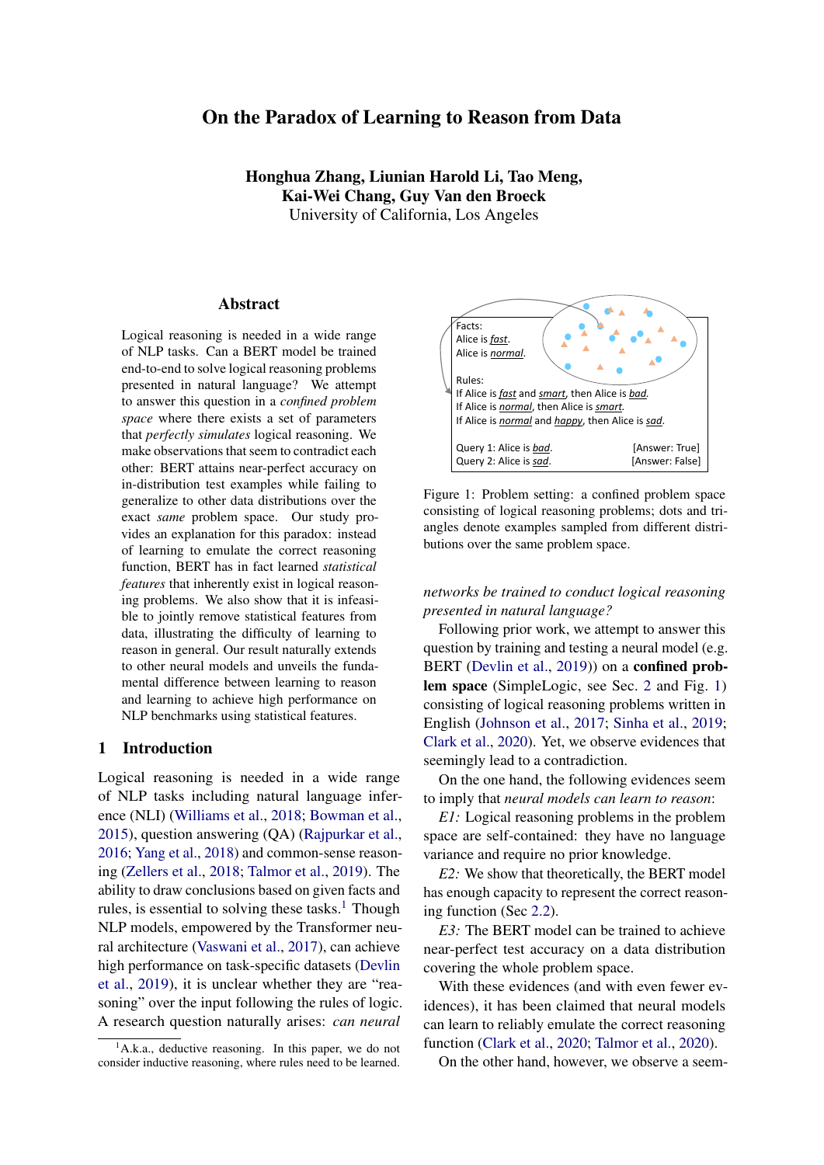in propositional logic is NP-complete; hence, we only consider propositional reasoning with *definite clauses*. A definite clause in propositional logic is a *rule* of the form  $A_1 \wedge A_2 \wedge \cdots \wedge A_n$  ! B, where  $A_i$ s and  $B$  are *predicates* that take values in "True" or "False"; we refer to the left hand side of a rule as its *body* and the right hand side as its *head*. In particular, a definite clause is called a *fact* if its body is empty (i.e.  $n = 0$ ). A *propositional theory* (with only definite clauses)  $\bar{T}$  is a set of rules and facts, and we say a predicate Q *can be proved* from  $\overline{T}$  if either (1)  $\overline{Q}$  is given in  $\overline{T}$  as a fact or (2)  $A_1 \wedge \cdots \wedge A_n$  !  $\circ$  is given in T as a rule where  $A_i$ s can be proved.

Each example in SimpleLogic is a propositional reasoning problem that only involves definite clauses. In particular, each example is a tuple (*facts*, *rules*, *query*, *label*) where (1) *facts* is a list of predicates that are known to be True, (2) *rules* is a list of rules represented as definite clauses, (3) *query* is a single predicate, and (4) *label* is either True or False, denoting whether the query predicate can be proved from *facts* and *rules*. Figure [1](#page-0-1) shows such an example. Furthermore, we enforce some simple constraints to control the difficulty of the problems. For each example in SimpleLogic, we require that:

- the number of predicates (#pred) that appear in facts, rules and query ranges from 5 to 30, and all predicates are sampled from a fixed vocabulary containing 150 adjectives such as "happy" and "complicated"; note that the predicates in SimpleLogic have no semantics;
- the number of rules (#rule) ranges from 0 to 4 #pred, and the body of each rule contains 1 to 3 predicates; i.e.  $A_1 \wedge \cdots \wedge A_n$  ! B with  $n > 3$  is not allowed;
- the number of facts (#fact) ranges from 1 to #pred;
- $\bullet$  the reasoning depth<sup>[3](#page-2-1)</sup> required to solve an example ranges from 0 to 6.

We use a simple template to encode examples in SimpleLogic as natural language input. For example, we use "*Alice is X.*" to represent the fact that X is True; we use "*A and B, C.*" to represent the rule A ^ B ! C; we use "*Query: Alice is Q.*" to represent the query predicate Q. Then we concatenate *facts*, *rules* and *query* as *[CLS] facts. rules*

<span id="page-2-2"></span>

If *smart* and *cautious*, *sad*. If *smart*, *evil.* [SEP]

Figure 2: A BERT-base model that simulates the forward-chaining algorithm. The first layer parses text input into the desired format. Each reasoning layer performs one step of forward-chaining, adding some predicates to the Proved Facts, and the rules being used are underlined in green; e.g. Reasoning Layer 2 use the rule "smart ! evil" to prove the predicate *evil*.

*[SEP] query [SEP]* and supplement it to BERT to predict the correct *label*.

# <span id="page-2-0"></span>2.2 BERT Has Enough Capacity to Solve SimpleLogic

In the following, we show that BERT has enough capacity to solve all examples in SimpleLogic. In particular, we explicitly construct a parameterization for BERT such that the fixed-parameter model solves all problem instances in SimlpleLogic. Note that we only prove the existence of such a parameterization, but do not discuss whether such a parameterization can be learned from sampled data until Sec. [3.](#page-3-0)

<span id="page-2-3"></span>Theorem 1. *For BERT with* n *layers, there exists a set of parameters such that the model can correctly solve any reasoning problem in SimpleLogic that requires* n 2 *steps of reasoning.*

We prove this theorem by construction; in particular, we construct a fixed set of parameters for BERT to simulate the forward-chaining algorithm.

Here we show a sketch of the proof, and refer readers to Appendix [C](#page-12-0) for the full proof. As illustrated in Figure [2,](#page-2-2) our construction solves a logical reasoning example in a layer-by-layer fashion. The

<span id="page-2-1"></span><sup>3</sup> For a query with label *True*, its reasoning depth is given by the depth of the shallowest proof tree; for a query with label *False*, its reasoning depth is the maximum depth of the shallowest failing branch in all *possible* proof trees.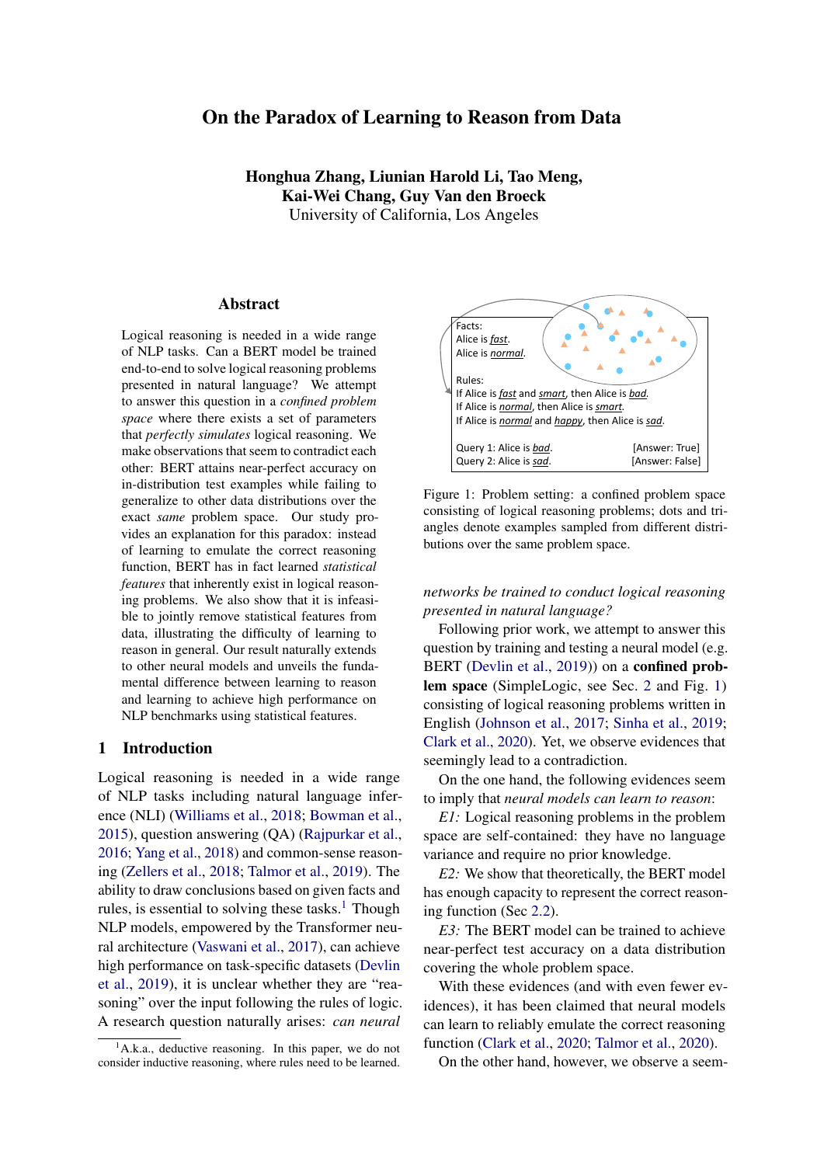<span id="page-3-2"></span>

Figure 3: An illustration of a logical reasoning problem (right) in SimpleLogic being sampled by Rule-Priority (RP) and Label-Priority (LP), respectively. Predicates with label *True* are denoted by filled circles.

1st layer of BERT parses the input sequence into the desired format. Layer 2 to layer 10 are responsible for simulating the forward chaining algorithm: each layer performs one step of reasoning, updating the True/False label for predicates. The last layer also performs one step of reasoning, while implicitly checking if the query predicate has been proven and propagating the result to the first token. The parameters are the same across all layers except for the Parsing Layer (1st layer).

We implemented the construction in PyTorch, following the exact architecture of the BERT-base model. The "constructed BERT" solves all the problems in SimpleLogic of reasoning depth 10 with 100% accuracy, using only a small proportion of the parameters.[4](#page-3-1)

# <span id="page-3-0"></span>3 BERT Fails to Learn to Solve SimpleLogic

In this section, we study whether it is possible to train a neural model (e.g., BERT) to reason on SimpleLogic. We follow prior work [\(Clark et al.,](#page-8-3) [2020\)](#page-8-3) to randomly sample examples from the problem space and train BERT on a large amount of sampled data. We consider two natural ways to sample data from SimpleLogic and expect that if a model has learned to reason, the model should be able to solve examples generated by any sampling methods.

#### <span id="page-3-3"></span>3.1 Sampling Examples from SimpleLogic

When sampling examples from a finite domain, one naive approach is to uniformly sample from the domain. However, uniform sampling is not desirable: by computation, it is easy to show that over 99:99% of the examples generated by uniform sampling have 30 predicates and 120 rules. This is a serious problem in terms of *coverage*: we expect a reasonable dataset to cover reasoning examples of different #pred, #fact and #rule. Hence, we instead consider the following two intuitive ways of sampling examples:

Rule-Priority (RP). To solve the major issue with uniform sampling, in Rule-Priority, we first randomly sample #pred, #fact and #rule uniformly at random from  $[5, 30]$ ,  $[1, #pred]$  and  $[1, 4 #pred]$ respectively, ensuring that all three aspects are covered by a non-trivial number of examples. Then, we randomly sample some predicates, facts and rules based on the given #pred, #rule and #fact. The query is also randomly sampled, and its label is computed by forward-chaining based on the given facts and rules.

Lable-Priority (LP). In Rule-Priority, we first randomly generate rules and facts, which then determines the label for each predicate. In Label-Priority (LP), we consider generating examples in the "reversed" order: we first randomly assign a True/False label to each predicate and then randomly sample some rules and facts that are *consistent* with the pre-assigned labels.

Figure [3](#page-3-2) shows an example illustrating the two sampling methods. Both LP and RP are very general, covering the whole problem space. We refer readers to the Appendix for further details on the sampling algorithms.

# 3.2 BERT Trained on Randomly Sampled Data Cannot Generalize

Following the two sampling regimes described above, we randomly sample two sets of examples from SimpleLogic: for each reasoning depth from 0 to 6, we sample 80k examples from SimpleLogic via algorithm RP (LP) and aggregate them as dataset RP (LP), which contains 560k examples in total. We then split it as training/validation/test set. We train a BERT-base model [\(Devlin et al.,](#page-8-1) [2019\)](#page-8-1) on RP and LP, respectively. We train for 20 epochs with a learning rate of  $4-10^{-5}$ , a warm-up ratio of 0:05, and a batch size of 64. Training takes less

<span id="page-3-1"></span> ${}^{4}$ Code available at [https://github.com/](https://github.com/joshuacnf/paradox-learning2reason) [joshuacnf/paradox-learning2reason](https://github.com/joshuacnf/paradox-learning2reason).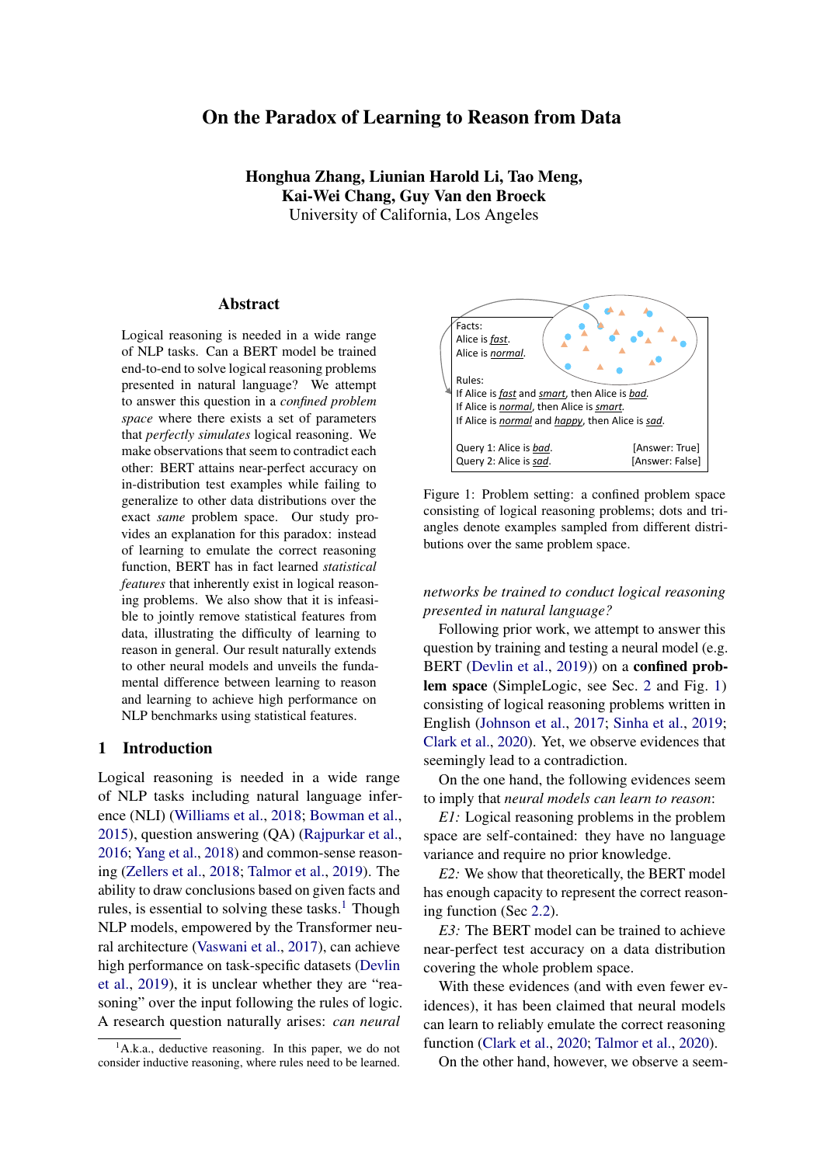than 2 days on 4 NVIDIA 1080Ti / 2080Ti GPUs with 12Gb GPU memory.

BERT performs well on the training distribution. The first and last rows of Table [1](#page-4-1) show the test accuracy when the test and train examples are sampled by the same algorithm (e.g., for row 1, the model is trained on the training set of RP and tested on the test set of RP). In such scenarios, the models can achieve near-perfect performance similar to the observations in prior work [\(Clark et al.,](#page-8-3) [2020\)](#page-8-3). Both sampling algorithms are general in the sense that every instance in SimpleLogic has a positive probability to be sampled; hence, the intuition is that the model has learned to emulate the correct reasoning function.

BERT fails to generalize. However, at the same time, we observe a rather counter-intuitive finding: the test accuracy drops significantly when the train and test examples are sampled via different algorithms. Specifically, as shown in the second and third rows of Table [1,](#page-4-1) the BERT model trained on RP fails drastically on LP, and vice versa. Since the correct reasoning function does not change across different data distributions, this generalization failure indicates BERT is has not learned to conduct logical reasoning. A subsequent question naturally arise: is this simply because LP and RP are complementary? Can the model learn to reason if we train the model on data sampled by both algorithms?

Training on both RP and LP is not enough. We train BERT on the mixture of RP and LP, and BERT again achieves nearly perfect test accuracy. Can we now conclude that BERT has learned to approximate the correct reasoning function? We slightly tweak the sampling algorithm of LP by increasing the expected number of alternative proof trees to generate LP . Unfortunately, we observe that the model performance again drops significantly on LP (Table [2\)](#page-4-2). Such a result resembles what we observed in Table [1,](#page-4-1) even when we are enriching our training distribution with different sampling methods. In fact, we find *no evidence* that consistently enriching the training distribution will bring a transformative change such that the model can learn to reason.

Discussion. The experiments above reveal a pattern of generalization failure: if we train the model on one data distribution, it fails almost inevitably on a different distribution. In other words, the

<span id="page-4-1"></span>

| RP | RP   99.9 99.8 99.7 99.3 98.3 97.5 95.5<br>LP   99.8 99.8 99.3 96.0 90.4 75.0 57.3   |  |  |  |
|----|--------------------------------------------------------------------------------------|--|--|--|
| LP | RP   97.3 66.9 53.0 54.2 59.5 65.6 69.2<br>LP   100.0 100.0 99.9 99.9 99.7 99.7 99.0 |  |  |  |

Table 1: Test accuracy on LP/RP for the BERT model trained on LP/RP; the accuracy is shown for test examples with reasoning depth from 0 to 6. BERT trained on RP achieves almost perfect accuracy on its test set; however the accuracy drops significantly when it's tested on LP (vice versa).

<span id="page-4-2"></span>

| Test   0 1 2 3 4 5 6                                                              |  |  |  |  |
|-----------------------------------------------------------------------------------|--|--|--|--|
| RP&LP 99.9 99.9 99.8 99.4 98.8 98.1 95.6<br>LP 98.1 97.2 92.5 80.3 65.8 55.6 55.2 |  |  |  |  |

Table 2: BERT trained on a mixture over RP and LP fails on LP<sup>\*</sup>, a test set that slightly differs from LP.

model seems to be emulating an incorrect "reasoning function" specific to its training distribution.

# 4 BERT Learns Statistical Features

To this point, we have shown that a BERT model achieving high in-distribution accuracy did not learn the correct reasoning function. In this section, we seek to provide an explanation for this peculiar generalization failure. Our analysis suggests that for the task of logical reasoning, even the simplest statistics of the example can give away significant information about the label, which we denote as *statistical features*. Such statistical features are inherent to the task of logical reasoning rather than a problem with specific datasets. When BERT is trained on data with statistical features, it tends to make predictions based on such features rather than learning to emulate the correct reasoning function; thus, BERT fails to generalize to the whole problem space. However, unlike the shallow shortcuts found in other typical NLP tasks, such statistical features can be countless and extremely complicated, and thus very difficult to be removed from training data.

### <span id="page-4-0"></span>4.1 Statistical Features Inherently Exists

What is a statistical feature? If a certain statistic of an example has a strong correlation with its label, we call it a *statistical feature*.

As an illustrating example, we consider the number of rules in a reasoning problem (#rule). As shown in Figure [4a,](#page-5-0) the #rule for reasoning prob-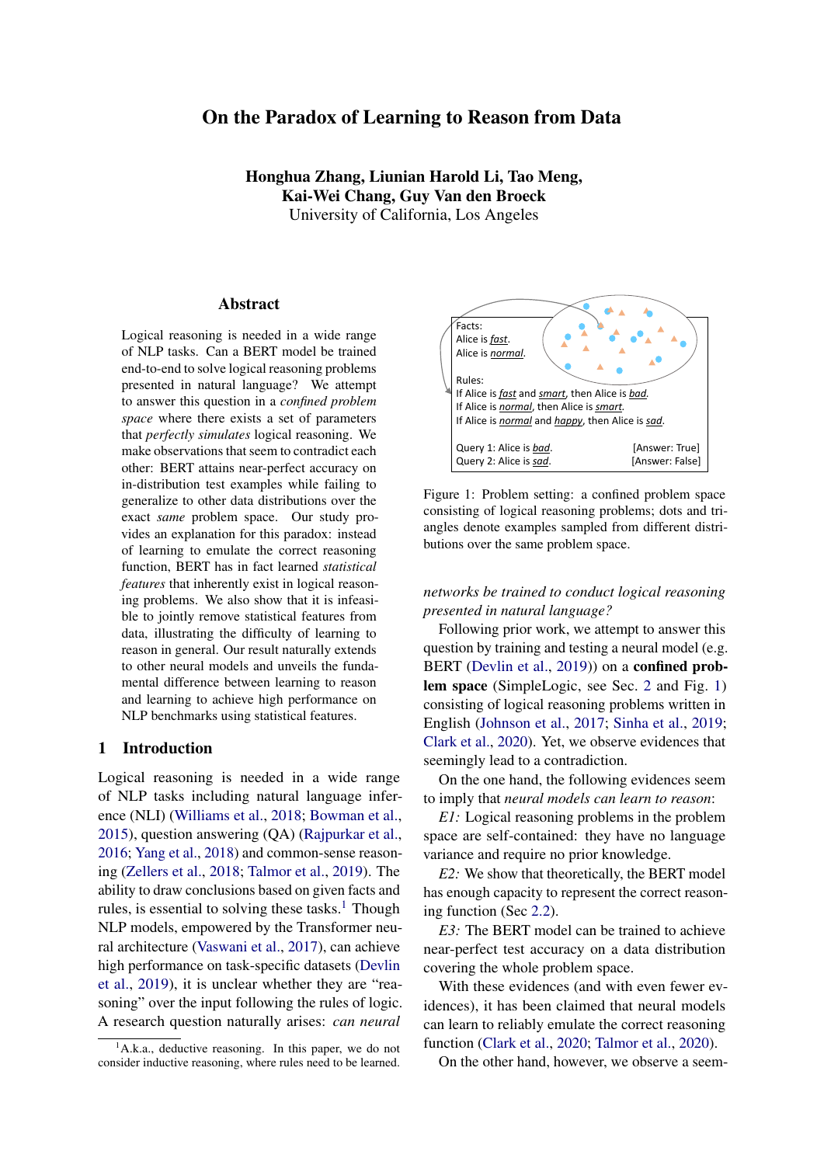<span id="page-5-0"></span>

(a) RP: Pr(label =  $1 / \text{true}$ ) > 0.5 for #rule > 40.



(b) RP\_balance:  $Pr(\text{label} = 1 \mid \text{true})$  0.5 for #rule 80.

Figure 4:  $Pr(\text{label} = 1 / \# \text{rule})$  (the blue columns) and Pr(#rule) (the green curves) for RP and RP\_balance, respectively. After removing #rule as a statistical feature (RP\_balance),  $Pr(\text{label} = 1 \mid \text{true})$  approaches 0.5 for  $\# rule$  80 while Pr(#rule) does not change.

lems in RP exhibit a strong correlation with their labels: when  $\text{true} > 40$ , the number of positive examples exceeds 50% by large margins; formally,  $Pr_e$  RP(label(e) = 1 / #rule(e) = x) > 0.5 for  $x > 40$ , which makes it possible for the model to guess the label of an example with relatively high accuracy by only using its #rule. Hence, we call #rule a statistical feature for the dataset RP.

Statistical features are inherent to logical reasoning problems. Continuing with our example, we show that #rule *inherently* exists as a statistical feature for logical reasoning problems in general; that is, it is not specific to the RP dataset. Consider the following property about logical entailment:

# Property (Monotonicity of entailment). *Any additional facts and rules can be freely added to the hypothesis of any proven fact.*

It follows that, intuitively, given a fixed set of predicates and facts, any predicate is more likely to be proved when more rules are given, that is,  $Pr(\text{label}(e) = 1 \mid \text{true}(e) = x)$  should increase (roughly) monotonically as  *increases. Since this* intuition assumes nothing about data distributions, it follows that such statistical patterns should naturally exist in any dataset that is not adversarially

<span id="page-5-2"></span>

Figure 5: For RP,  $Pr$ (label = 1 / branching\_factor) decreases as branching\_factor increases.

constructed. In addition to RP, we also verify that both LP and the uniform distribution exhibit similar statistical patterns, which we refer readers to Appendix for further details.

Statistical features are countless. In addition to #rule, numerous statistical features potentially exist. For example, as facts can be seen as special form of rules, it follows from previous argument that #fact is also positively correlated with labels. Statistical features can be more complicated than just #rule or #fact. For example, the average number of predicates in rules of a reasoning problem can also leak information about its label. Note that the right-hand side of a rule is only proved if all predicates on its left-hand side are proved. Then, it is immediate that rules of the form  $A/B$ ;  $C$  !  $D$ are less likely to be "activated" than rules of the form  $A \mid D$ . Following this intuition, we can define the following statistic: for an example e, let

branching\_factor(
$$
\theta
$$
)  
=\frac{\#fact(e) +  
\#fact( $\theta$ ) +  
\#fact( $\theta$ ) + $\#$ rule( $\theta$ )

In this definition, we are computing the average number of predicates in the rules, where facts are treated as rules with one predicate.<sup>[5](#page-5-1)</sup> Our intuition suggests that the larger the branching\_factor, the less likely an example will be positive; we verify that this intuition holds for RP, as shown in Figure [5.](#page-5-2) Just like #rule, we observe that branching\_factor is also a statistical feature for LP and the uniform distribution; see details in Appendix.

Now we have shown that, though there are simple statistical features like #rule, some (e.g. branching factor) can be less intuitive to call to mind; in light of this, it is not hard to imagine that some statistical features can be so complex that they cannot

<span id="page-5-1"></span> $5B$ Franching factor: with more predicates on the left-hand side of the rules, the proof tree has more branches.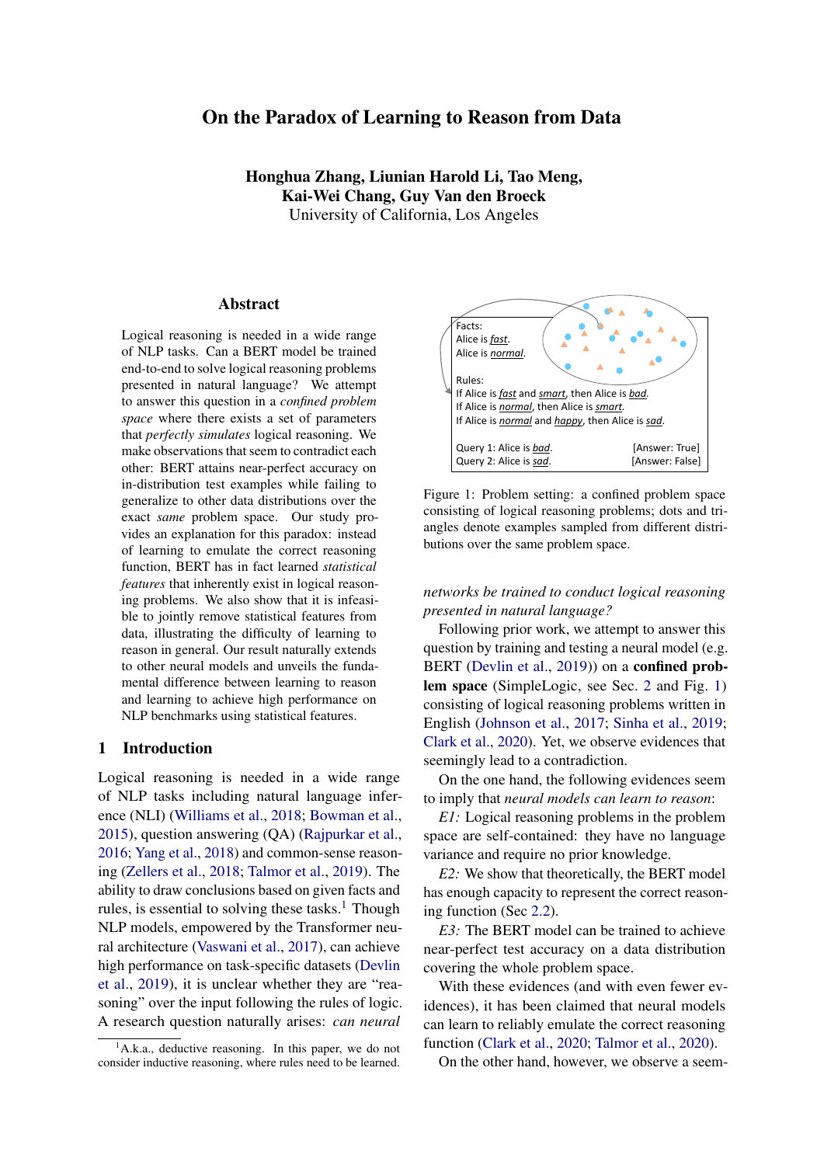<span id="page-6-0"></span>

| Train Test   0 1 2 3 4 5 6 |                                                                                                                                |  |  |  |  |
|----------------------------|--------------------------------------------------------------------------------------------------------------------------------|--|--|--|--|
|                            | RP 99.8 99.7 99.7 99.4 98.5 98.1 97.0<br>RP_b RP_b 99.4 99.6 99.2 98.7 97.8 96.1 94.4<br>LP 99.6 99.6 99.6 97.6 93.1 81.3 68.1 |  |  |  |  |
| <b>RP</b>                  | RP 99.9 99.8 99.7 99.3 98.3 97.5 95.5 RP_b 99.0 99.3 98.5 97.5 96.7 93.5 88.3 LP 99.8 99.8 99.3 96.0 90.4 75.0 57.3            |  |  |  |  |

Table 3: The model trained on RP performs worse on RP\_balance (RP\_b). This indicates that the model is using the statistical feature #rule to make predictions.

even be manually constructed by humans. In particular, statistical features can also be *compositional*: one can define a *joint* statistical feature by combining multiple ones (e.g., branching factor and #rule), which further adds to the complexity. Thus, it is infeasible to identify all statistical features.

### 4.2 Statistical Features Inhibit Model Generalization

Having verified that statistical features inherently exist for logical reasoning problems, in this section we study how they affect the model behavior. We show that (1) when statistical features are presented in training distributions, BERT tends to utilize them to make predictions; (2) after removing one statistical feature from training data, the model generalizes better. It follows that statistical features can hinder the model from learning the correct reasoning function, explaining the generalization failure we observed in Section [3.](#page-3-0)

Example: removing one statistical feature. We use #rule as an example to illustrate how to remove statistical features from a training dataset  $D$ ; in particular, there are three criteria that we need to satisfy: (1) label is balanced for the feature; (2) the marginal distribution of the feature remains unchanged; (3) the dataset size remains unchanged.

Formally, our first goal is to sample  $D^{\ell}$  D such that, for all  $x$ :

 $Pr_e \sim \text{[label}(e) = 1 \text{]}$  #rule(e) = x) = 0:5

Intuitively, this equation says that on  $D^{\ell}$ , one cannot do better than 50% by only looking at the #rule of an example. Specifically, for all possible values of x, if  $Pr_e D(label(e)=1 / \#rule(e)=x) > 0.5$ , we drop some positive examples with  $\#rule = x$  from D; otherwise, we drop some negative examples.

However, we would not meet the second criterion by naively dropping the minimum number of examples; consider the following statistics for RP:

| #rule | before drop<br>#examples / positive % | after drop<br>#examples / positive % |
|-------|---------------------------------------|--------------------------------------|
| 38    | 6860/49.9%                            | 6822/50.0%                           |
| 80    | 2322/92.7%                            | 339/50.0%                            |

As shown in the table, if we were to naively drop the minimum number examples from RP such that Equation 1 is satisfied, we will be left with only 339 examples with  $\text{true} = 80$ , where the number (6822) of examples with #rule = 38 remains unchanged. This could be a serious issue in terms of dataset *coverage*: examples with some particular #rule will dominate  $D^{\theta}$  and there will not be enough examples for other #rule. Recall that this is also the reason we choose RP/LP over uniform sampling to generate our datasets (Sec. [3.1\)](#page-3-3). Hence, we also need to make sure that as we remove statistical features from D, their marginal distributions in  $D^{\ell}$ stay close to  $D$ :

$$
\text{Pr}_{e \ D^0}(\# \text{rule}(e)) = \text{Pr}_{e \ D}(\# \text{rule}(e)) :
$$

In this way,  $D^{\theta}$ 's coverage of examples with different #rule remains the same as D.

When both criteria (1) and (2) are satisfied, the size of  $D^0$  will be *much smaller* than D and the ratio  $k = jDj=jD^{\circ}j$  can be estimated from min<sub>x</sub> Pr<sub>e</sub> $_D$ (label(e)=1 *j* #rule(e)=x). Hence, to make sure that criterion (3) is met, that is the size of  $D^{\theta}$  is the same as D, we need to pre-sample k D and obtain  $D^{\theta}$  by down-sampling.

Following this approach, by down-sampling from  $k$  RP, we construct RP\_balance, where #rule is no longer a statistical feature. A rough estimation shows that if we were to balance  $Pr_e$ <sub>RP</sub>(label(*e*) = 1/#rule(*e*) = *x*) for *x* up to 110, the ratio  $k > 100$ , that is, we need to spend over 100x running time (200 hours on a 40-core CPU) to pre-sample roughly 56 million examples; the computational cost would be even more expensive if we want to completely remove #rule as a statistical feature. Hence, we only balance this conditional probability for  $0 \times 80$ , which takes 10x running time (20 hours on a 40-core CPU) to pre-sample 5.6 million examples. This would not be a major problem as 90% of the examples in RP have #rule 80. We train the BERT model on RP\_balance, and the results are reported in Table [3.](#page-6-0)

BERT uses statistical features to make predictions. As shown in Table [3,](#page-6-0) BERT trained on RP shows large performance drop when tested on RP\_balance, while BERT trained on RP\_balance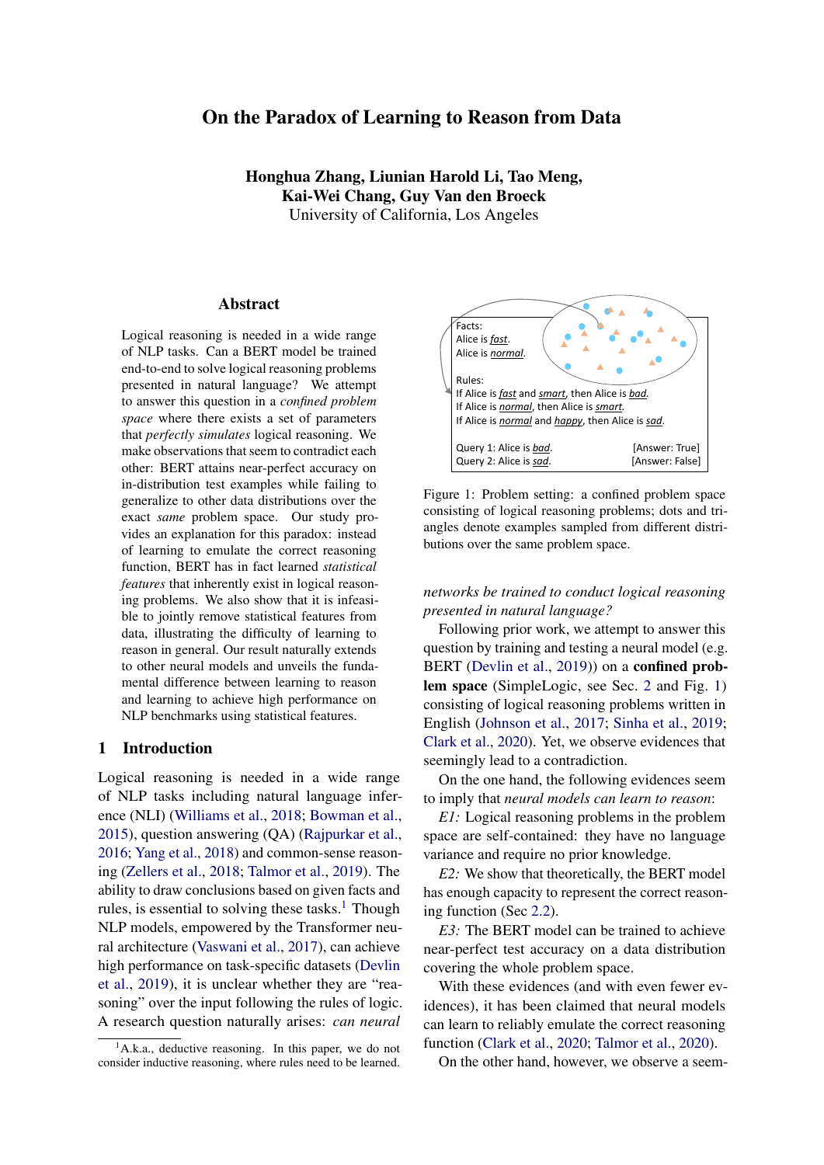shows even better performance on RP than RPtrained BERT. Since RP\_balance is down-sampled from RP, the accuracy drop from RP to RP\_balance can only be explained by that BERT trained on RP is using #rule to make predictions.

Removing statistical features helps generalization. As shown in Table [3,](#page-6-0) compared to RPtrained BERT, BERT trained on RP\_balance achieves higher accuracy when tested on LP; in particular, for examples with reasoning depth 6, the model trained on RP\_balance attains an accuracy of 68:1%, approximately 10% higher than the model trained on RP. This is a clear signal that when #rule is removed as a statistical feature, the model generalizes better, suggesting that statistical features can hinder model generalization.

Statistical features explain the paradox. Now we have a good explanation for the paradox: on the first hand, as we have discussed in Section [4.1,](#page-4-0) statistical features can be arbitrarily complex and powerful neural models can identify and use them to achieve high in-distribution accuracy; on the other hand, since the correlations between statistical features and the labels can change as the data distribution changes (see Appendix for details), the model that uses them to make predictions does not generalize to out-of-distribution examples. Besides, we notice that though the BERT model seem to be generalizing well for reasoning examples of depth < 3, it never achieve 100% accuracy even when tested in-distribution: no matter how strong the statistical features are, they almost never determine the label with 100% accuracy.

# 4.3 On the Dilemma of Removing Statistical Features

We show that though removing one statistical feature (e.g., #rule) from training data can benefit model generalization, it is computationally infeasible to jointly remove multiple statistical features.

Recall that, in the previous section, when we were trying to remove the statistical feature #rule from RP, we could only afford to remove it for 90% of the examples. The general idea is that if a statistical feature  $X$  has a very strong correlation with the label on some dataset  $D$ , i.e.  $Pr_e D(label(e) = 1/X(e) = x)$  is very close to 1 or 0, then we would need to sample a lot of examples to have a balanced set.

The combination of multiple statistical features can give much stronger signal about the label than

<span id="page-7-0"></span>

|                                        | $Pr(label = 1   X)$ |      |
|----------------------------------------|---------------------|------|
| $f = 15$                               | 0.908               | 5.5  |
| $f = 15$ , b $2$ [2.65,2.75]           | 0.975               | 20.0 |
| $f = 15$ , b $2$ [2.65,2.75], $r = 58$ | 0.991               | 55.6 |

Table 4: Jointly removing statistical features is difficult; e.g. second row shows: we need to sample *at least* 20

RP to balance  $Pr(\text{label} = 1 \mid f = 15, b \; 2 \; [2.65, 2.75])$ .

the individual ones; thus it is much harder to jointly remove them. As an example, we consider removing three statistical features from RP: #fact (f), branching\_factor (b) and #rule (r).

As shown in Table [4,](#page-7-0) as we try to jointly remove more statistical features X, Pr(label =  $1/X$ ) becomes more unbalanced; in particular, as we try to progressively remove #fact, branching\_factor and #rule, the minimum times of examples we need to sample grows roughly exponentially: 5:5 / 20:0 ! 55:6. Besides, the third column in Table [4](#page-7-0) only shows some lower-bounds for  $k$ : we are only considering balancing the conditional probability for *one* particular assignment (#fact = 15, braching\_factor 2 [2.65,2.75], #rule = 58); for some other assignments, the conditional probability can be more unbalanced, making it even more difficult to jointly remove them.

### 5 Related Work

A great proportion of NLP tasks require logical reasoning. Prior work contextualizes the problem of logical reasoning by proposing reasoningdependent datasets and studies solving the tasks with neural models [\(Johnson et al.,](#page-8-2) [2017;](#page-8-2) [Sinha](#page-9-6) [et al.,](#page-9-6) [2019;](#page-9-6) [Yu et al.,](#page-9-12) [2020;](#page-9-12) [Liu et al.,](#page-9-14) [2020;](#page-9-14) [Tian](#page-9-15) [et al.,](#page-9-15) [2021\)](#page-9-15). However, most studies focus on solving a single task, and the datasets either are designed for a specific domain [\(Johnson et al.,](#page-8-2) [2017;](#page-8-2) [Sinha et al.,](#page-9-6) [2019\)](#page-9-6), or have confounding factors such as language variance [\(Yu et al.,](#page-9-12) [2020\)](#page-9-12); they can not be used to strictly or comprehensively study the logical reasoning abilities of models.

Another line studies leveraging deep neural models to solve pure logical problems. For examples, SAT [\(Selsam et al.,](#page-9-16) [2019\)](#page-9-16), maxSAT [\(Wang et al.,](#page-9-17) [2019\)](#page-9-17), temporal logical problems [\(Hahn et al.,](#page-8-11) [2021\)](#page-8-11), DNF counting [\(Crouse et al.,](#page-8-12) [2019\)](#page-8-12), logical reasoning by learning the embedding of logical formula [\(Crouse et al.,](#page-8-12) [2019;](#page-8-12) [Abdelaziz et al.,](#page-8-13) [2020\)](#page-8-13) and mathematical problems [\(Saxton et al.,](#page-9-18) [2019;](#page-9-18) [Lample and Charton,](#page-8-14) [2020\)](#page-8-14). In this work, we focus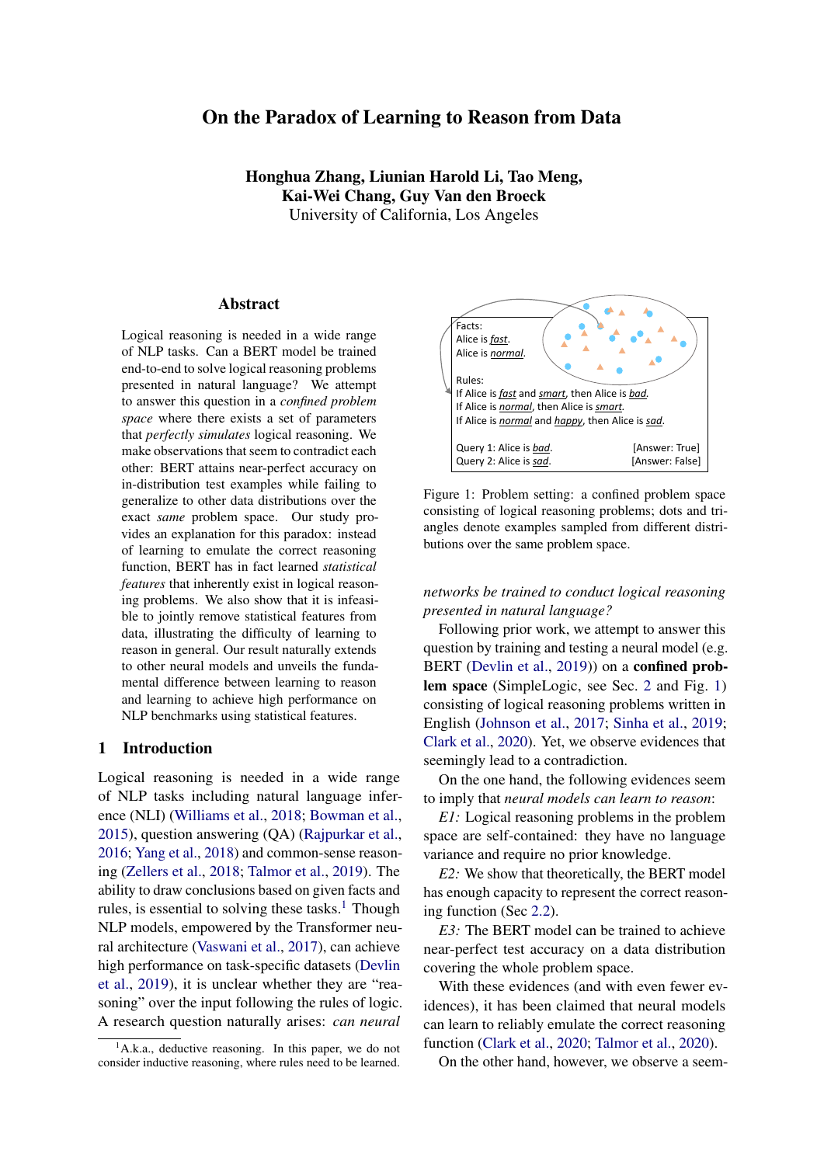on deductive reasoning, which is a general and fundamental reasoning problem. [Clark et al.](#page-8-3) [\(2020\)](#page-8-3) conducts a similar study to show that models can be trained to reason over language, while we observe the difficulty of learning to reason from data. [Xu](#page-9-19) [et al.](#page-9-19) [\(2019\)](#page-9-19) studies how well neural models can generalize on different types of reasoning problems from a theoretical perspective.

# 6 Conclusion

In this work, we study whether BERT can be trained to conduct logical reasoning in a confined problem space. Our work shows that though BERT can achieve near-perfect performance on a data distribution that covers the whole space, it always fails to generalize to other distributions that are even just slightly different. We demonstrate that the BERT model has not learned to emulate the correct reasoning function: it is in fact learning statistical features, which inherently exist in logical reasoning problems. We further show that it is computationally infeasible to identify and remove all such statistical features from training data, establishing the difficulty of learning to reason.

### Acknowledgements

This work is partially supported by a DARPA PTG grant, NSF grants #IIS-1943641, #IIS-1956441, #CCF-1837129, Samsung, CISCO, and a Sloan Fellowship. This work is supported in part by Amazon scholarship.

# **References**

- <span id="page-8-13"></span>Ibrahim Abdelaziz, Veronika Thost, Maxwell Crouse, and Achille Fokoue. 2020. An experimental study of formula embeddings for automated theorem proving in first-order logic. *CoRR*, abs/2002.00423.
- <span id="page-8-0"></span>Samuel R. Bowman, Gabor Angeli, Christopher Potts, and Christopher D. Manning. 2015. A large annotated corpus for learning natural language inference. In *EMNLP*. The Association for Computational Linguistics.
- <span id="page-8-8"></span>Christopher Clark, Mark Yatskar, and Luke Zettlemoyer. 2019. Don't take the easy way out: Ensemble based methods for avoiding known dataset biases. In *EMNLP/IJCNLP (1)*, pages 4067–4080. Association for Computational Linguistics.
- <span id="page-8-3"></span>Peter Clark, Oyvind Tafjord, and Kyle Richardson. 2020. Transformers as soft reasoners over language. In *IJCAI*. ijcai.org.
- <span id="page-8-12"></span>Maxwell Crouse, Ibrahim Abdelaziz, Cristina Cornelio, Veronika Thost, Lingfei Wu, Kenneth D. Forbus, and Achille Fokoue. 2019. Improving graph neural network representations of logical formulae with subgraph pooling. *CoRR*, abs/1911.06904.
- <span id="page-8-1"></span>Jacob Devlin, Ming-Wei Chang, Kenton Lee, and Kristina Toutanova. 2019. BERT: pre-training of deep bidirectional transformers for language understanding. In *NAACL-HLT (1)*. Association for Computational Linguistics.
- <span id="page-8-10"></span>Yanai Elazar, Hongming Zhang, Yoav Goldberg, and Dan Roth. 2021. Back to square one: Artifact detection, training and commonsense disentanglement in the winograd schema. *arXiv preprint arXiv:2104.08161*.
- <span id="page-8-5"></span>Nicolas Gontier, Koustuv Sinha, Siva Reddy, and Chris Pal. 2020. Measuring systematic generalization in neural proof generation with transformers. *Advances in Neural Information Processing Systems*, 33:22231–22242.
- <span id="page-8-7"></span>Suchin Gururangan, Swabha Swayamdipta, Omer Levy, Roy Schwartz, Samuel R. Bowman, and Noah A. Smith. 2018. Annotation artifacts in natural language inference data. In *NAACL-HLT (2)*. Association for Computational Linguistics.
- <span id="page-8-11"></span>Christopher Hahn, Frederik Schmitt, Jens U. Kreber, Markus Norman Rabe, and Bernd Finkbeiner. 2021. Teaching temporal logics to neural networks. In *ICLR*. OpenReview.net.
- <span id="page-8-9"></span>He He, Sheng Zha, and Haohan Wang. 2019. Unlearn dataset bias in natural language inference by fitting the residual. In *DeepLo@EMNLP-IJCNLP*, pages 132–142. Association for Computational Linguistics.
- <span id="page-8-2"></span>Justin Johnson, Bharath Hariharan, Laurens van der Maaten, Li Fei-Fei, C. Lawrence Zitnick, and Ross B. Girshick. 2017. CLEVR: A diagnostic dataset for compositional language and elementary visual reasoning. In *CVPR*. IEEE Computer Society.
- <span id="page-8-6"></span>Pang Wei Koh, Shiori Sagawa, Henrik Marklund, Sang Michael Xie, Marvin Zhang, Akshay Balsubramani, Weihua Hu, Michihiro Yasunaga, Richard Lanas Phillips, Irena Gao, et al. 2021. Wilds: A benchmark of in-the-wild distribution shifts. In *International Conference on Machine Learning*, pages 5637–5664. PMLR.
- <span id="page-8-14"></span>Guillaume Lample and François Charton. 2020. Deep learning for symbolic mathematics. In *ICLR*. Open-Review.net.
- <span id="page-8-4"></span>Kevin Lin, Oyvind Tafjord, Peter Clark, and Matt Gardner. 2019. Reasoning over paragraph effects in situations. *arXiv preprint arXiv:1908.05852*.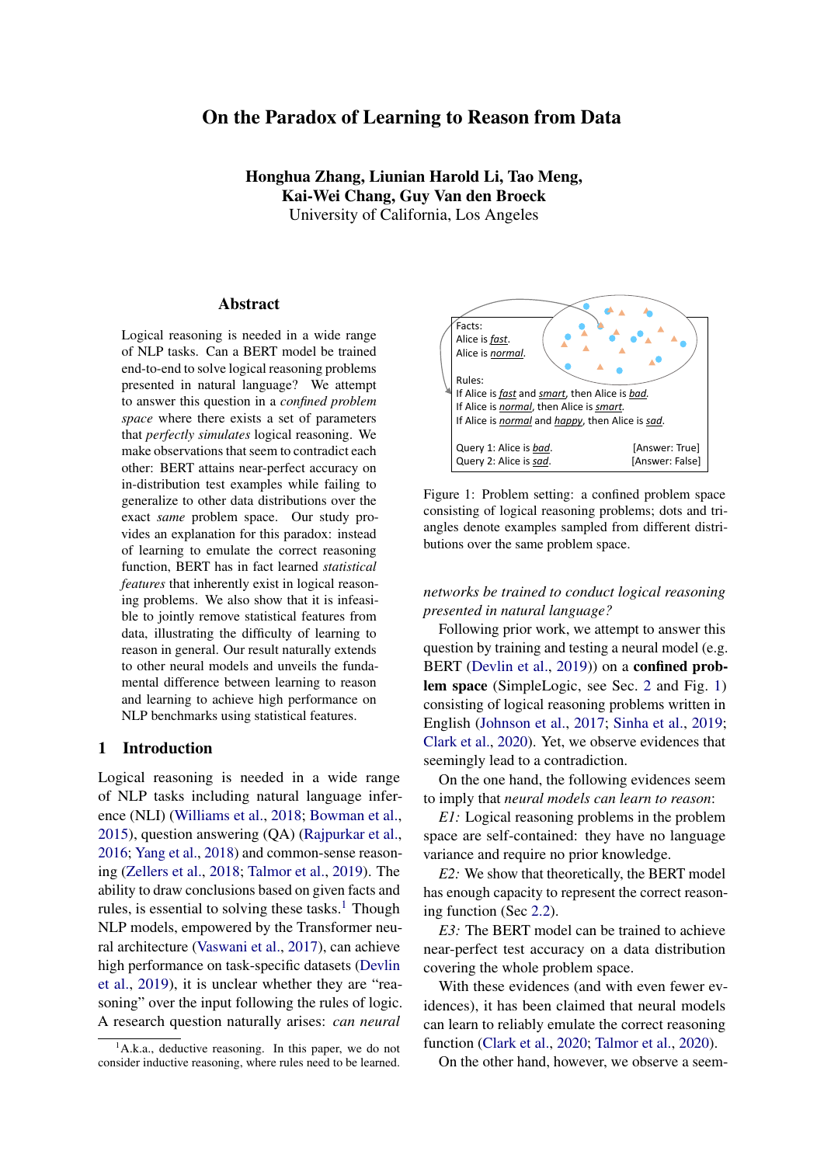- <span id="page-9-14"></span>Jian Liu, Leyang Cui, Hanmeng Liu, Dandan Huang, Yile Wang, and Yue Zhang. 2020. Logiqa: A challenge dataset for machine reading comprehension with logical reasoning. In *IJCAI*. ijcai.org.
- <span id="page-9-10"></span>Andrew L. Maas, Raymond E. Daly, Peter T. Pham, Dan Huang, Andrew Y. Ng, and Christopher Potts. 2011. [Learning word vectors for sentiment analy](http://www.aclweb.org/anthology/P11-1015)[sis.](http://www.aclweb.org/anthology/P11-1015) In *Proceedings of the 49th Annual Meeting of the Association for Computational Linguistics: Human Language Technologies*, pages 142–150, Portland, Oregon, USA. Association for Computational Linguistics.
- <span id="page-9-13"></span>Tom McCoy, Ellie Pavlick, and Tal Linzen. 2019. Right for the wrong reasons: Diagnosing syntactic heuristics in natural language inference. In *Proceedings of the 57th Annual Meeting of the Association for Computational Linguistics*, pages 3428–3448.
- <span id="page-9-1"></span>Pranav Rajpurkar, Jian Zhang, Konstantin Lopyrev, and Percy Liang. 2016. Squad: 100, 000+ questions for machine comprehension of text. In *EMNLP*, pages 2383–2392. The Association for Computational Linguistics.
- <span id="page-9-18"></span>David Saxton, Edward Grefenstette, Felix Hill, and Pushmeet Kohli. 2019. Analysing mathematical reasoning abilities of neural models. In *ICLR (Poster)*. OpenReview.net.
- <span id="page-9-16"></span>Daniel Selsam, Matthew Lamm, Benedikt Bünz, Percy Liang, Leonardo de Moura, and David L. Dill. 2019. Learning a SAT solver from single-bit supervision. In *ICLR (Poster)*. OpenReview.net.
- <span id="page-9-6"></span>Koustuv Sinha, Shagun Sodhani, Jin Dong, Joelle Pineau, and William L. Hamilton. 2019. CLUTRR: A diagnostic benchmark for inductive reasoning from text. In *EMNLP/IJCNLP (1)*, pages 4505– 4514. Association for Computational Linguistics.
- <span id="page-9-4"></span>Alon Talmor, Jonathan Herzig, Nicholas Lourie, and Jonathan Berant. 2019. Commonsenseqa: A question answering challenge targeting commonsense knowledge. In *NAACL-HLT (1)*, pages 4149–4158. Association for Computational Linguistics.
- <span id="page-9-7"></span>Alon Talmor, Oyvind Tafjord, Peter Clark, Yoav Goldberg, and Jonathan Berant. 2020. Leap-of-thought: Teaching pre-trained models to systematically reason over implicit knowledge. *Advances in Neural Information Processing Systems*, 33:20227–20237.
- <span id="page-9-15"></span>Jidong Tian, Yitian Li, Wenqing Chen, Liqiang Xiao, Hao He, and Yaohui Jin. 2021. Diagnosing the firstorder logical reasoning ability through logicnli. In *EMNLP (1)*. Association for Computational Linguistics.
- <span id="page-9-5"></span>Ashish Vaswani, Noam Shazeer, Niki Parmar, Jakob Uszkoreit, Llion Jones, Aidan N. Gomez, Lukasz Kaiser, and Illia Polosukhin. 2017. Attention is all you need. In *NIPS*, pages 5998–6008.
- <span id="page-9-8"></span>Yoav Wald, Amir Feder, Daniel Greenfeld, and Uri Shalit. 2021. On calibration and out-of-domain generalization. In *NeurIPS*, pages 2215–2227.
- <span id="page-9-17"></span>Po-Wei Wang, Priya L. Donti, Bryan Wilder, and J. Zico Kolter. 2019. Satnet: Bridging deep learning and logical reasoning using a differentiable satisfiability solver. In *ICML*, Proceedings of Machine Learning Research. PMLR.
- <span id="page-9-11"></span>Sean Welleck, Jiacheng Liu, Ronan Le Bras, Hannaneh Hajishirzi, Yejin Choi, and Kyunghyun Cho. 2021. Naturalproofs: Mathematical theorem proving in natural language. *arXiv preprint arXiv:2104.01112*.
- <span id="page-9-0"></span>Adina Williams, Nikita Nangia, and Samuel R. Bowman. 2018. A broad-coverage challenge corpus for sentence understanding through inference. In *NAACL-HLT*. Association for Computational Linguistics.
- <span id="page-9-19"></span>Keyulu Xu, Jingling Li, Mozhi Zhang, Simon S Du, Ken-ichi Kawarabayashi, and Stefanie Jegelka. 2019. What can neural networks reason about? *arXiv preprint arXiv:1905.13211*.
- <span id="page-9-2"></span>Zhilin Yang, Peng Qi, Saizheng Zhang, Yoshua Bengio, William W. Cohen, Ruslan Salakhutdinov, and Christopher D. Manning. 2018. Hotpotqa: A dataset for diverse, explainable multi-hop question answering. In *EMNLP*, pages 2369–2380. Association for Computational Linguistics.
- <span id="page-9-9"></span>Da Yin, Liunian Harold Li, Ziniu Hu, Nanyun Peng, and Kai-Wei Chang. 2021. Broaden the vision: Geodiverse visual commonsense reasoning. In *EMNLP (1)*, pages 2115–2129. Association for Computational Linguistics.
- <span id="page-9-12"></span>Weihao Yu, Zihang Jiang, Yanfei Dong, and Jiashi Feng. 2020. Reclor: A reading comprehension dataset requiring logical reasoning. In *ICLR*. Open-Review.net.
- <span id="page-9-3"></span>Rowan Zellers, Yonatan Bisk, Roy Schwartz, and Yejin Choi. 2018. SWAG: A large-scale adversarial dataset for grounded commonsense inference. In *EMNLP*. Association for Computational Linguistics.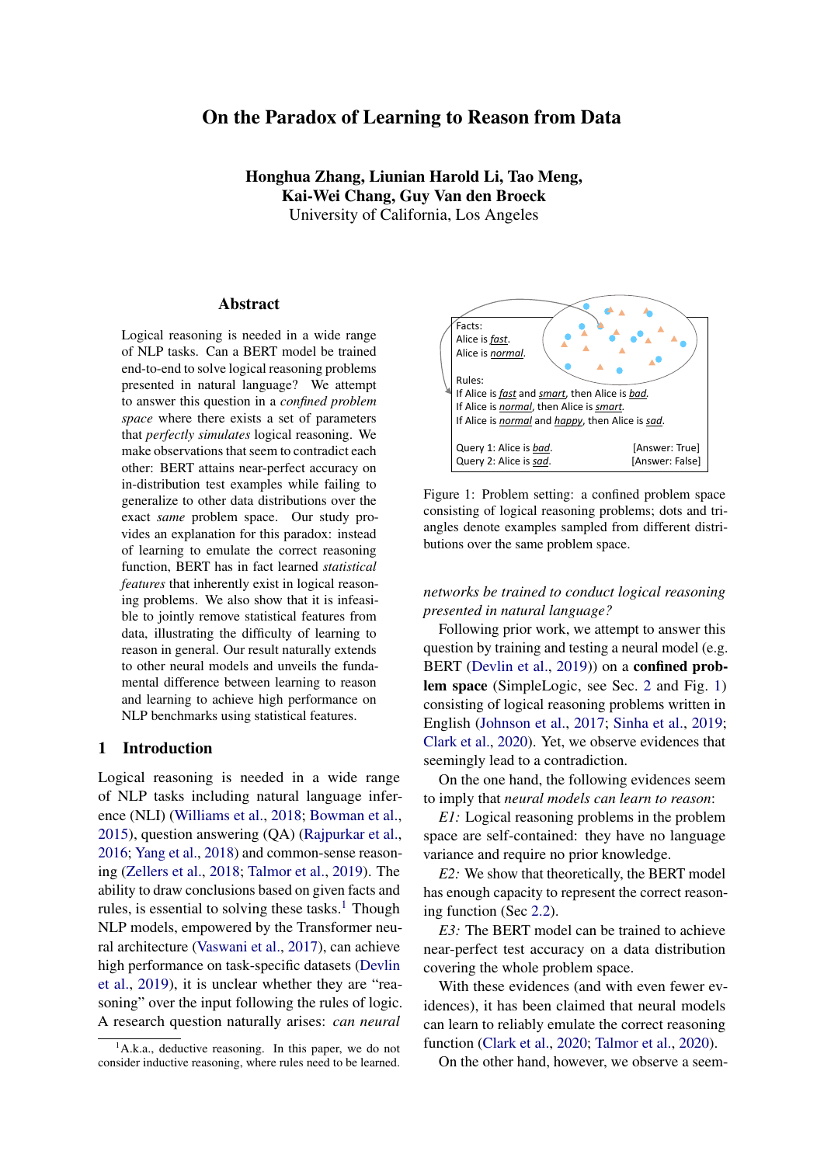

# A Statistical Features in Different Data Distributions

(a) Statistics for examples generated by Rule-Priority (RP).



(c) Statistics for examples generated by uniform sampling; we only consider examples with #pred = 30 as a good-enough approximation: over 99% of the examples generated by uniform sampling have  $\#pred = 30$ .

Figure 6: #rule is a statistical feature for RP, LP and the uniform distribution. Even though  $Pr(\text{label} = 1/\text{Hrule})$ increases as #rule increases for all three distributions, it follows a slightly different pattern for each distribution; that is to say, the correlation between #rule and the label changes as the underlying data distribution changes, which explains the generalization failure we observed.



(a) Statistics for examples generated by Rule-Priority (RP).



(c) Statistics for examples generated by uniform sampling; we only consider examples with  $\# pred = 30$  and  $\# rule = 120$  as a good-enough approximation: over 99% of the examples generated by uniform sampling have #pred = 30 and #rule = 120.



(b) Statistics for examples generated by Label-Priority (LP).



(b) Statistics for examples generated by Label-Priority (LP).

Figure 7: #fact is a statistical feature for RP, LP and the uniform distribution.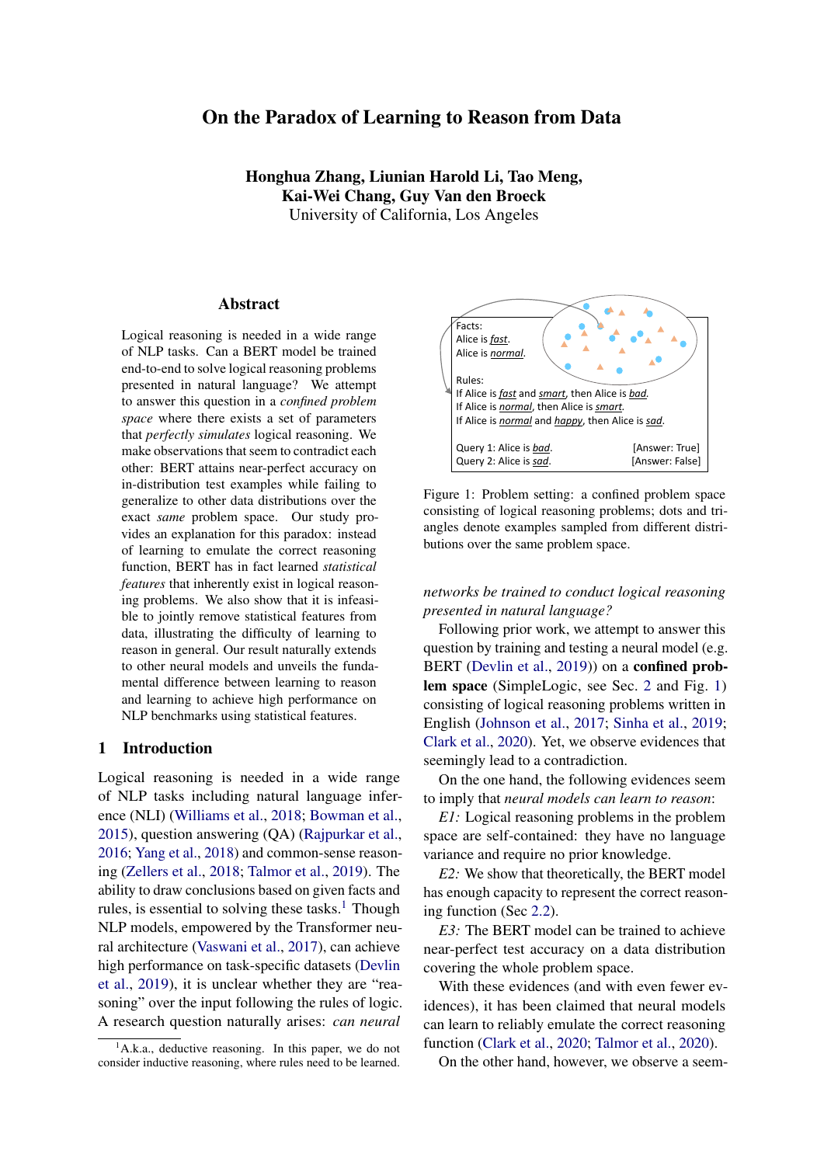

(a) Statistics for examples generated by Rule-Priority (RP).



(c) Statistics for examples generated by uniform sampling; we only consider examples with  $\# pred = 30$  and  $\#rule = 120$  as a good-enough approximation: over 99% of the examples generated by uniform sampling have #pred =  $30$  and #rule =  $120$ .

Figure 8: branching\_factor is a statistical feature for RP, LP and the uniform distribution.



(b) Statistics for examples generated by Label-Priority (LP).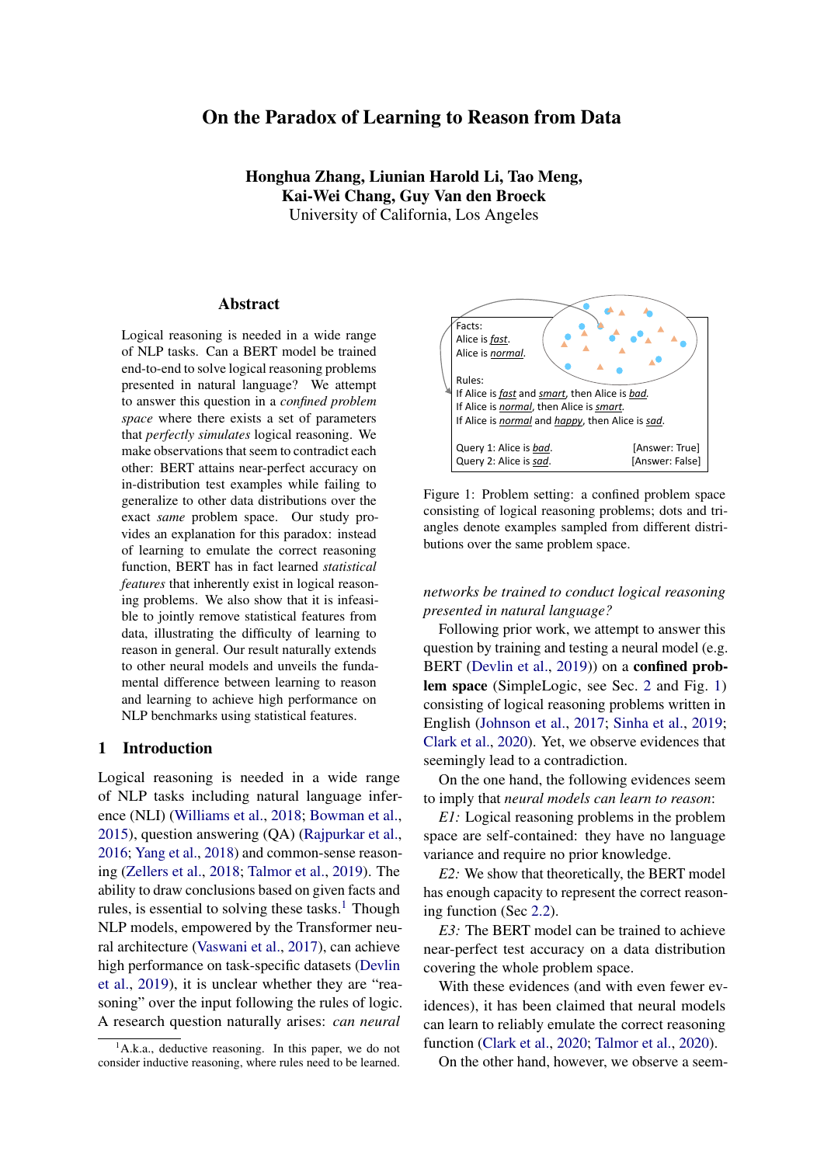# B Sampling Examples from SimpleLogic

# B.1 Algorithms: Rule-Priority & Label-Priority

|                                                | <b>b</b> <i>Label-Priority</i> (LP)                     |
|------------------------------------------------|---------------------------------------------------------|
|                                                | 1: $pred\_num$ $U[5, 30]$                               |
|                                                | 2: preds Sample(vocab; pred_num)                        |
|                                                | 3: $rule\_num$ $U[0, 4$ $pred\_num]$                    |
| <b>a</b> Rule-Priority (RP)                    | 4: set $I$ $U[1$ ; pred_num=2] and group preds          |
|                                                | 5: into / layers                                        |
| 1: $pred\_num$ $U[5;30]$                       | 6: for predicate $\rho$ in layer 1 <i>i</i><br>/ do     |
| 2: preds Sample(vocab; pred_num)               | U[0, 1]<br>7:<br>$\sigma$                               |
|                                                | 8:<br>assign label q to predicate $p$                   |
|                                                | if $i > 1$ then<br>9:                                   |
| 5: <i>rules</i> empty array                    | 10:<br><i>k</i> $U[1,3]$                                |
| 6: while size of $rules < rule_$ num do        | 11:<br>cand<br>nodes in layer $i \neq 1$                |
| body_num $U[1,3]$<br>7:                        | 12:<br>with label = $q$                                 |
| body Sample(preds; body_num)<br>8:             | 13: body Sample(cand; k)                                |
| head Sample(preds; 1)<br>9:                    | 14:<br>add body ! p to rules                            |
| if tail $\&$ body then<br>10:                  | 15:<br>end if                                           |
| add body ! head to rules<br>11:                | 16: end for                                             |
| 12:<br>end if                                  | 17: while size of <i>rules &lt; rule_num</i> do         |
| $13:$ end while                                | body_num $U[1,3]$<br>18:                                |
| 14: $fact\_num$ $U[0; pred\_num]$              | body Sample(preds; body_num)<br>19:                     |
| Sample(preds; fact_num)<br>15: <i>facts</i>    | head Sample(preds;1)<br>20:                             |
| 16: query Sample(preds; 1)                     | 21:<br>add body ! tail to rules unless tail has label 0 |
| 17: Compute <i>label</i> via forward-chaining. | and                                                     |
| 18: return (facts; rules; query; label)        | all predicates in <i>body</i> has label 1.<br>22:       |
|                                                | 23: end while                                           |
|                                                | 24: $facts$ predicates in layer 1 with label = 1        |
|                                                | 25: query Sample(preds; 1)                              |
|                                                | 26: label<br>pre-assigned label for <i>query</i>        |
|                                                | 27: return (facts; rules; query; label)                 |

Figure 9: Two sampling algorithms Rule-Priority and Label-Priority. Sample( $X; k$ ) returns a random subset from X of size k.  $U[X; Y]$  denotes the uniform distribution over the integers between X and Y.

# <span id="page-12-0"></span>C Construction Proof of Theorem 1

We prove theorem [1](#page-2-3) by construction: in N-layer BERT model, we take the first layer as parsing layer, the last layer as output layer and the rest layers as forward chaining reasoning layer. Basically, in the parsing layer we preprocess the natural language input. In forward chaining reasoning layers, the model iteratively broadcast the RHSs to all LHSs, and check the left hand side (LHS) of each rule and update the status of the right hand side (RHS). Here we introduce the general idea of the construction, and we will release the source code for the detailed parameters assignments.

# C.1 Pre-processing Parameters Construction

**Predicate Signature** For each predicate P, we generate its signature  $Sign_{P}$ , which is a 60-dimensional unit vector, satisfying that for two different predicates  $P_1$ ;  $P_2$ ; Sign<sub>P1</sub> Sign<sub>P2</sub> < 0.5: We can randomly generate those vectors and check until the constraints are satisfied. Empirically it takes no more than 200 trials.

Meaningful Vector In parsing layer, we process the natural language inputs as multiple "meaningful vectors". The meaningful vectors are stored in form of  $L_A$  // $L_B$  // $L_C$  // $R$ / $/0^{512}$ ; representing a rule  $L_A \sim$  $L_B \triangle L_C$  ! R: Each segment  $L_A$ ;  $L_B$ ;  $L_C$ ; R has 64 dimensions, representing a predicate or a always True/False dummy predicate. For each predicate  $P$ , the first 63 dimensions, denoted as  $P^{sign}$ , form the signature of the predicate, and the last dimension is a Boolean variable, denoted as  $P<sup>V</sup>$ . The following information is converted into meaningful vectors: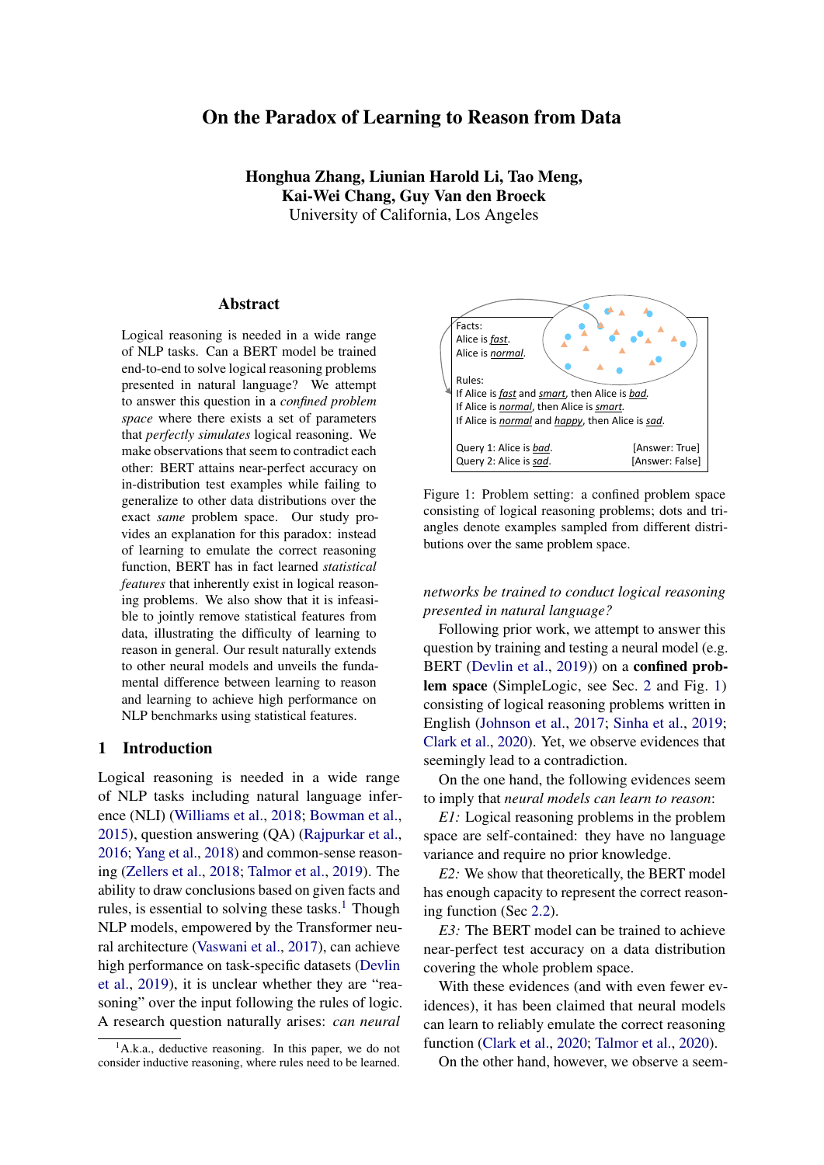- 1. Rule  $LHS$  ! RHS : if the LHS has less than 3 predicates, we make it up by adding always True dummy predicate(s), and then encode it into meaningful vector, stored in the separating token follows the rule. In addition, for each predicate  $P$  in LHS, we encode a dummy meaningful vector as F alse  $\ell$  P and store it in the encoding of P. This operation makes sure that every predicate in the input sentence occurs at least once in RHS among all meaningful vectors. We will see the purpose later.
- 2. Fact P: we represent it by a rule  $True$  ! P, and then encode it into meaningful vector and store it in the embedding of the separating token follows the fact.
- 3. Query  $Q$ : we represent it by a rule  $Q / Q$ , encode and store it in the [CLS] token at beginning.

Hence, in the embedding, some positions are encoded by meaningful vectors. For the rest positions, we use zero vectors as their embeddings.

### C.2 Forward Chaining Parameters Construction

Generally, to simulate the forward chaining algorithm, we use the attention process to globally broadcast the true value in RHSs to LHSs, and use the MLP layers to do local inference for each rule from the LHS to the RHS.

In attention process, for each meaningful vector, the predicates in LHS look to the RHS of others (including itself). If a RHS has the same signature as the current predicate, the boolean value of the RHS is added to the boolean value of the current predicate. Specifically, we construct three heads. We denote  $Q_i^{(k)}$  $\int_{i}^{N}$  to stand for the query vector of the i-th token of the k-th attention head. For a meaningful vector written as  $L_A$ j/ $L_B$ j/ $L_C$ j/ $R_j$ j $0^{512}$ ;

$$
Q_i^{(1)} = L_A^{sign} / J_{\frac{1}{4}}^1; Q_i^{(2)} = L_B^{sign} / J_{\frac{1}{4}}^1; Q_i^{(1)} = L_C^{sign} / J_{\frac{1}{4}}^1
$$
  
\n
$$
K_i^{(1)} = R; K_i^{(2)} = R; K_i^{(3)} = R
$$
  
\n
$$
V_i^{(1)} = 0^{63} / J R^{\nu}; V_i^{(2)} = 0^{63} / J R^{\nu}; V_i^{(3)} = 0^{63} / J R^{\nu}
$$

Here is a pre-defined constant. The attention weight to a different predicate is at most  $\frac{3}{4}$ , while the attention weight to the same predicate is at least , and the predicate with positive boolean value has even larger  $(\frac{5}{4})$  attention weight. Thus, with a large enough constant , we are able to make the attention distribution peaky. Theoretically, when  $\geq 300$  ln 10; we can guarantee that the attention result

$$
Attention(Q; K; V) = softmax \bigoplus_{i}^{QK^{T}} V
$$

satisfies that the value is in the range of [0:8; 1:0] if the predicate on LHS is boardcasted by some RHS with true value, otherwise it is in the range of  $[0, 0.2]$ .

This attention results are added to the original vectors by the skipped connection. After that, we use the two-layer MLP to do the local inference in each meaningful vector. Specifically, we set

$$
10[ReLU(L_A + L_B + L_C' \t 2.3)
$$
  
ReLU(L\_A' + L\_B' + L\_C' \t 2.4)]

as the updated  $R^V$ . Thus,  $R^V = 1$  if and only if all the boolean values in LHS are true, otherwise  $R^V = 0$ . We also set  $L_A^{\nu}$ ;  $L_B^{\nu}$  as 0 for the next round of inference.

#### C.3 Output Layer Parameters Construction

In output layer, we take out the Boolean value of the RHS of the meaningful vector in [CLS] token.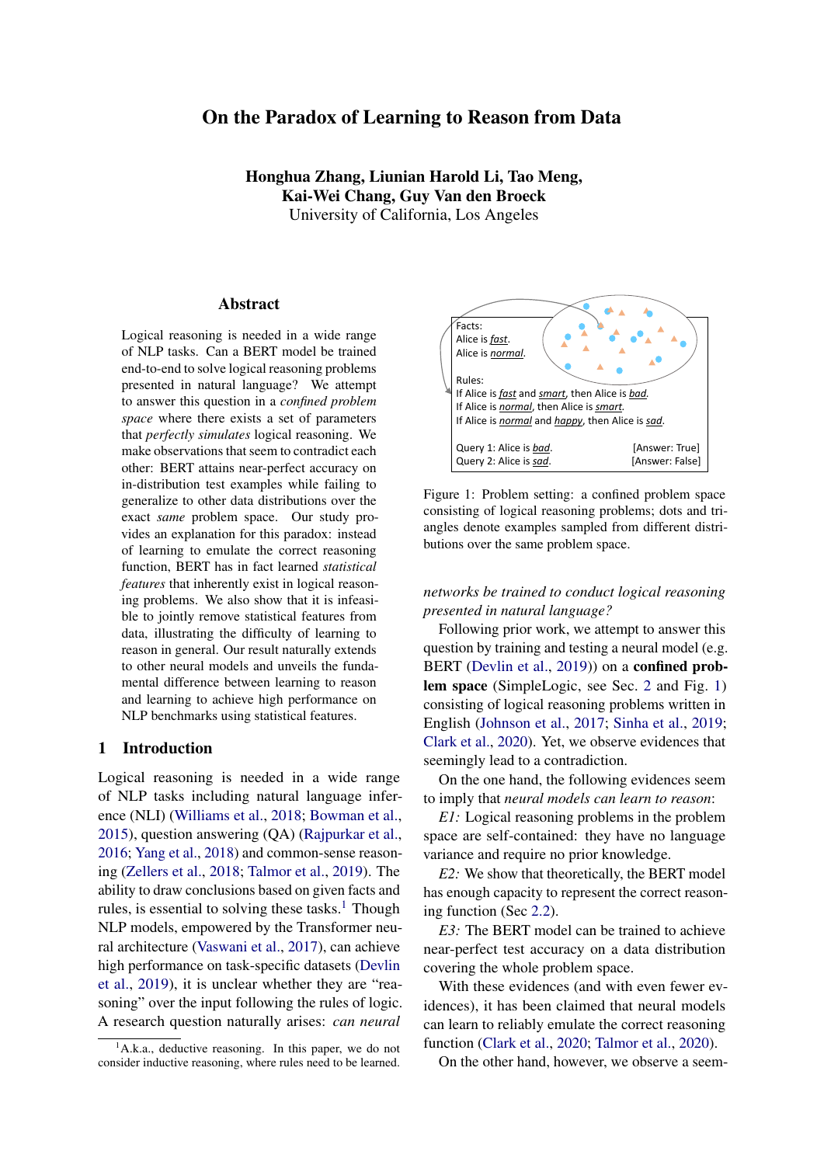# D Examples from SimpleLogic

Rules: If messy and hypocritical and lonely, then shiny. If tame, then friendly. If plain and shiny and homely, then nervous. If tender, then hypocritical. If dull and impatient and plain, then tame. If spotless, then perfect. If elegant and tender, then homely. If lonely and inquisitive and plain, then homely. If proud, then quaint. If outrageous and homely and impatient, then messy. If quaint, then outrageous. If elegant and glamorous and ugly, then homely. If perfect and sincere and mean, then ambitious. If spotless and quaint and tame, then messy. If tame and sincere and homely, then elegant. If ambitious, then elegant. If shiny and proud, then combative. If quaint and elegant and nervous, then impatient. If glamorous, then outrageous. If proud, then friendly. If combative and nervous, then outrageous. If outrageous and quaint, then careless. If lonely and plain, then inquisitive. If lonely and ugly and combative, then tame. If friendly, then dull. If lonely, then tame. If tender and plain and lonely, then elegant. If glamorous, then hypocritical. If tame and helpless and impatient, then friendly. If careless and messy, then nervous. If combative and shiny, then inquisitive. If plain and outrageous and ugly, then glamorous. If careless and quaint and spotless, then combative. If homely, then helpless. If ambitious, then proud. If messy and ugly, then inquisitive. If perfect, then proud. If helpless and perfect, then elegant. If perfect, then lonely. If lonely and hypocritical, then perfect. If perfect, then friendly. If tender and messy and ambitious, then quaint. If proud, then mean. If outrageous, then perfect. If nervous, then inquisitive. If hypocritical and homely and nervous, then tender. If friendly and dull and outrageous, then ambitious. If glamorous, then proud. If impatient and nervous, then spotless. If mean and quaint and lonely, then spotless. If glamorous, then careless. If dull and mean, then elegant. If homely, then proud. If inquisitive and plain, then ugly. If tender, then homely. If proud and quaint and lonely, then outrageous. If glamorous and perfect and dull, then messy. If helpless and tame and tender, then proud. If friendly and mean, then helpless. If inquisitive, then spotless. If shiny, then tame. If perfect and quaint, then careless. If careless and nervous and combative, then homely. If outrageous and inquisitive and elegant, then hypocritical. If tender and quaint and perfect, then careless. If mean and friendly and ambitious, then combative. Facts: Alice shiny. Alice tender. Alice lonely. Query: Alice is dull ? Label: True Proof Depth: 3 From: RP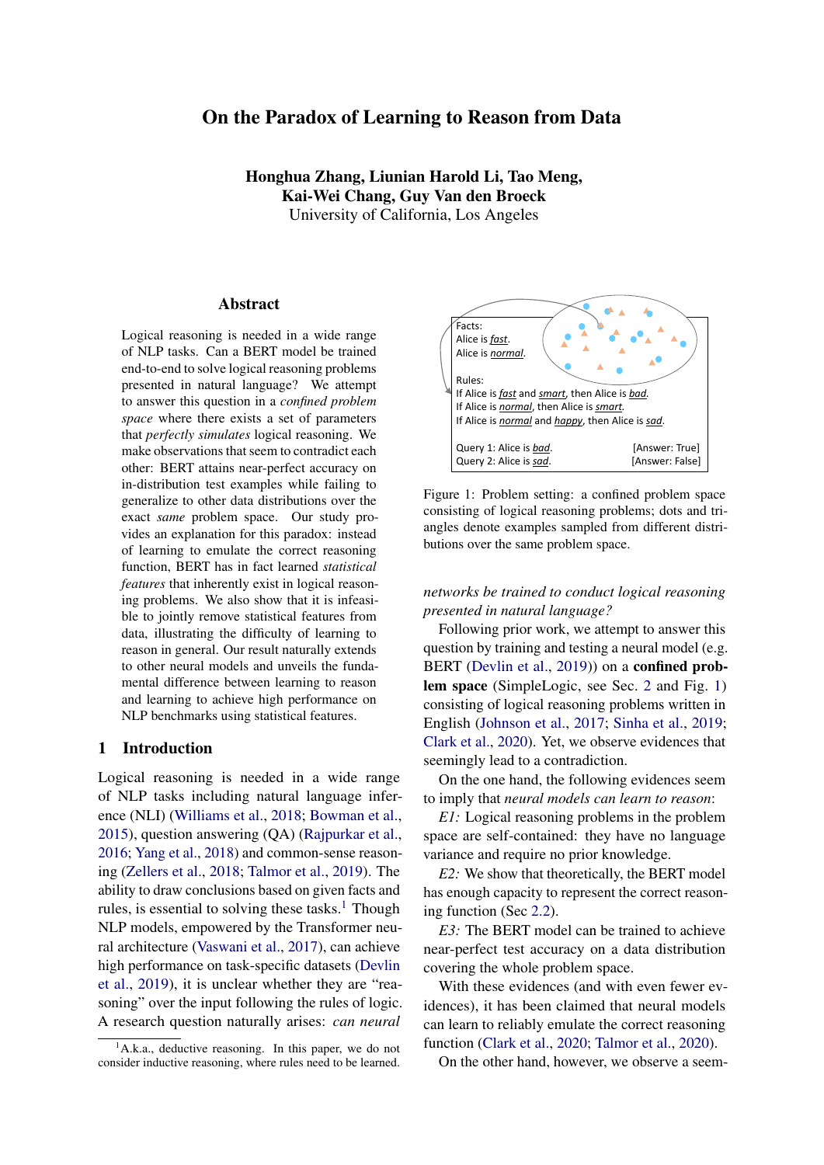Rules: If comfortable, then tense. If nervous, then blushing. If nervous and difficult, then beautiful. If disgusted, then clean. If talkative and aggressive, then light. If versatile and supportive, then beautiful. If aggressive, then different. If glamorous and supportive and pleasant, then inexpensive. If light and outrageous and modern, then pleasant. If blushing, then tense. If beautiful, then clean. If perfect and inexpensive, then comfortable. If modern and different, then supportive. If tense, then glamorous. If talkative and aggressive and perfect, then blushing. If versatile, then outrageous. If tense, then perfect. If modern and perfect and inexpensive, then difficult. If versatile and aggressive, then reserved. If comfortable and versatile, then modern. If pleasant and versatile, then reserved. If clean and tense and difficult, then outrageous. If glamorous and modern, then courageous. If elegant and clean, then perfect. If pleasant, then tense. If versatile and blushing and elegant, then light. If reserved, then clean. If clean and talkative and difficult, then reserved. If light, then courageous. If blushing, then light. If different and beautiful, then modern. If disgusted and talkative, then perfect. If elegant and reserved and talkative, then aggressive. If elegant and courageous, then outrageous. If modern and difficult, then disgusted. If supportive and beautiful, then light. If blushing, then glamorous. If comfortable and modern and glamorous, then blushing. If disgusted and inexpensive and talkative, then difficult. If different and clean and disgusted, then modern. If clean and talkative and light, then supportive. If modern and nervous, then difficult. If talkative and aggressive, then modern. If tense and beautiful, then supportive. If modern and inexpensive and glamorous, then comfortable. If difficult and beautiful and modern, then supportive. If nervous and elegant and aggressive, then modern. If tense, then light. If comfortable and inexpensive and disgusted, then tense. If inexpensive and elegant, then nervous. If nervous, then elegant. If glamorous and pleasant, then elegant. If elegant and outrageous, then pleasant. If aggressive and disgusted and comfortable, then light. If talkative and reserved, then clean. If aggressive and modern and inexpensive, then supportive. If reserved and versatile and glamorous, then modern. If comfortable and pleasant and beautiful, then outrageous. If nervous and different and elegant, then modern. If difficult and perfect and outrageous, then tense. If comfortable and blushing and glamorous, then clean. If disgusted, then inexpensive. If inexpensive and tense, then blushing. If elegant, then aggressive. If inexpensive and versatile, then pleasant. If supportive and tense and beautiful, then disgusted. If glamorous and beautiful, then talkative. If tense and reserved, then beautiful. If different, then pleasant. If glamorous and supportive, then clean.

Facts: Alice versatile. Alice beautiful. Alice light. Alice glamorous. Alice outrageous. Alice difficult. Query: Alice is comfortable ?

Label: True Proof Depth: 6 From: RP